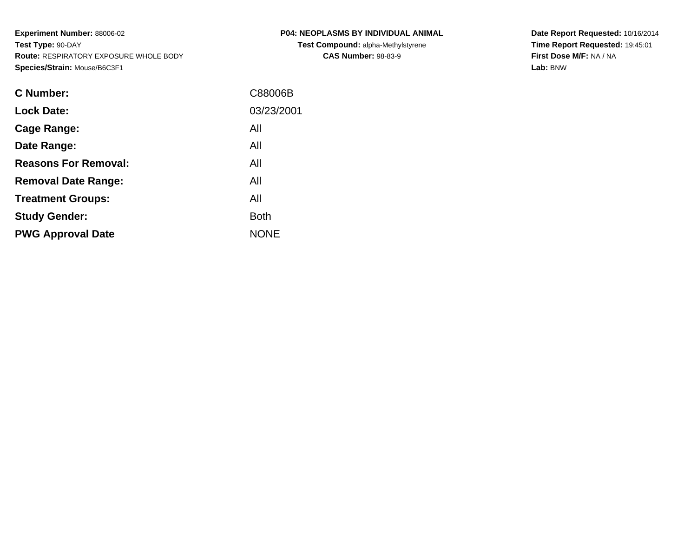| buse/B6C3F1 |            |
|-------------|------------|
|             | C88006B    |
|             | 03/23/2001 |
|             | All        |
|             | ΔII        |

**P04: NEOPLASMS BY INDIVIDUAL ANIMALTest Compound:** alpha-Methylstyrene**CAS Number:** 98-83-9

**Date Report Requested:** 10/16/2014 **Time Report Requested:** 19:45:01**First Dose M/F:** NA / NA**Lab:** BNW

| <b>C</b> Number:            | C88006B     |
|-----------------------------|-------------|
| <b>Lock Date:</b>           | 03/23/2001  |
| Cage Range:                 | All         |
| Date Range:                 | All         |
| <b>Reasons For Removal:</b> | All         |
| <b>Removal Date Range:</b>  | All         |
| <b>Treatment Groups:</b>    | All         |
| <b>Study Gender:</b>        | <b>Both</b> |
| <b>PWG Approval Date</b>    | <b>NONE</b> |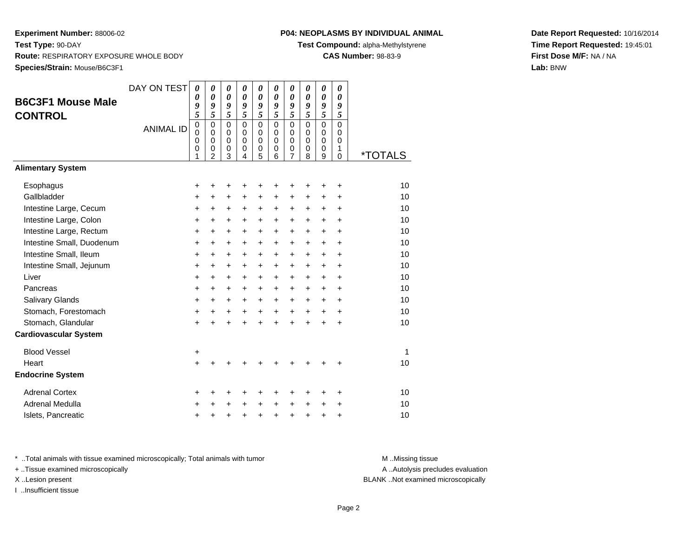# **P04: NEOPLASMS BY INDIVIDUAL ANIMAL**

**Test Compound:** alpha-Methylstyrene

**CAS Number:** 98-83-9

**Date Report Requested:** 10/16/2014**Time Report Requested:** 19:45:01**First Dose M/F:** NA / NA**Lab:** BNW

| <b>B6C3F1 Mouse Male</b><br><b>CONTROL</b>         | DAY ON TEST<br><b>ANIMAL ID</b> | 0<br>0<br>9<br>5<br>$\mathbf 0$<br>$\mathbf 0$<br>0<br>0<br>1 | 0<br>$\boldsymbol{\theta}$<br>9<br>5<br>$\mathbf 0$<br>$\mathbf 0$<br>$\mathbf 0$<br>$\pmb{0}$<br>$\overline{2}$ | 0<br>$\boldsymbol{\theta}$<br>9<br>5<br>$\mathbf 0$<br>$\mathbf 0$<br>0<br>0<br>3 | 0<br>$\boldsymbol{\theta}$<br>9<br>5<br>$\mathbf 0$<br>$\mathbf 0$<br>0<br>0<br>4 | 0<br>$\boldsymbol{\theta}$<br>9<br>5<br>$\Omega$<br>$\mathbf 0$<br>0<br>0<br>5 | 0<br>0<br>9<br>5<br>$\Omega$<br>$\mathbf 0$<br>0<br>0<br>6 | 0<br>$\boldsymbol{\theta}$<br>9<br>5<br>$\Omega$<br>$\mathbf 0$<br>0<br>0<br>7 | 0<br>0<br>9<br>5<br>$\Omega$<br>$\mathbf 0$<br>0<br>$\mathbf 0$<br>8 | 0<br>$\boldsymbol{\theta}$<br>$\boldsymbol{g}$<br>5<br>$\mathbf 0$<br>$\mathbf 0$<br>$\mathbf 0$<br>$\mathbf 0$<br>9 | 0<br>$\theta$<br>9<br>5<br>$\Omega$<br>$\mathbf 0$<br>$\Omega$<br>1<br>$\mathbf 0$ | <i><b>*TOTALS</b></i> |
|----------------------------------------------------|---------------------------------|---------------------------------------------------------------|------------------------------------------------------------------------------------------------------------------|-----------------------------------------------------------------------------------|-----------------------------------------------------------------------------------|--------------------------------------------------------------------------------|------------------------------------------------------------|--------------------------------------------------------------------------------|----------------------------------------------------------------------|----------------------------------------------------------------------------------------------------------------------|------------------------------------------------------------------------------------|-----------------------|
| <b>Alimentary System</b>                           |                                 |                                                               |                                                                                                                  |                                                                                   |                                                                                   |                                                                                |                                                            |                                                                                |                                                                      |                                                                                                                      |                                                                                    |                       |
| Esophagus                                          |                                 | +                                                             | +                                                                                                                | +                                                                                 | +                                                                                 | +                                                                              | +                                                          | +                                                                              | +                                                                    | +                                                                                                                    | +                                                                                  | 10                    |
| Gallbladder                                        |                                 | +                                                             | $\ddot{}$                                                                                                        | +                                                                                 | $\pm$                                                                             | +                                                                              | $\ddot{}$                                                  | $\ddot{}$                                                                      | +                                                                    | $\ddot{}$                                                                                                            | $\ddot{}$                                                                          | 10                    |
| Intestine Large, Cecum                             |                                 | +                                                             | $\ddot{}$                                                                                                        | +                                                                                 | $\ddot{}$                                                                         | +                                                                              | +                                                          | $\ddot{}$                                                                      | +                                                                    | $\ddot{}$                                                                                                            | +                                                                                  | 10                    |
| Intestine Large, Colon                             |                                 | +                                                             | $\ddot{}$                                                                                                        | $\ddot{}$                                                                         | +                                                                                 | $\ddot{}$                                                                      | $\ddot{}$                                                  | $\ddot{}$                                                                      | $\ddot{}$                                                            | $\ddot{}$                                                                                                            | $\ddot{}$                                                                          | 10                    |
| Intestine Large, Rectum                            |                                 | +                                                             | +                                                                                                                | $\ddot{}$                                                                         | +                                                                                 | +                                                                              | $\ddot{}$                                                  | $\ddot{}$                                                                      | $\ddot{}$                                                            | $\ddot{}$                                                                                                            | $\ddot{}$                                                                          | 10                    |
| Intestine Small, Duodenum                          |                                 | $\ddot{}$                                                     | $\ddot{}$                                                                                                        | $\ddot{}$                                                                         | $\ddot{}$                                                                         | $\ddot{}$                                                                      | $\ddot{}$                                                  | $\ddot{}$                                                                      | $\ddot{}$                                                            | $\ddot{}$                                                                                                            | $\ddot{}$                                                                          | 10                    |
| Intestine Small, Ileum                             |                                 | $\ddot{}$                                                     | $\ddot{}$                                                                                                        | $\ddot{}$                                                                         | $\ddot{}$                                                                         | $\ddot{}$                                                                      | $\ddot{}$                                                  | $\ddot{}$                                                                      | $\ddot{}$                                                            | $\ddot{}$                                                                                                            | $\ddot{}$                                                                          | 10                    |
| Intestine Small, Jejunum                           |                                 | $\ddot{}$                                                     | $\ddot{}$                                                                                                        | $\ddot{}$                                                                         | $\ddot{}$                                                                         | $\ddot{}$                                                                      | $\ddot{}$                                                  | $\ddot{}$                                                                      | $\ddot{}$                                                            | $\ddot{}$                                                                                                            | $\ddot{}$                                                                          | 10                    |
| Liver                                              |                                 | $\ddot{}$                                                     | $\ddot{}$                                                                                                        | $\ddot{}$                                                                         | $\ddot{}$                                                                         | $\ddot{}$                                                                      | $\ddot{}$                                                  | $\ddot{}$                                                                      | $\ddot{}$                                                            | $\ddot{}$                                                                                                            | $\ddot{}$                                                                          | 10                    |
| Pancreas                                           |                                 | $\ddot{}$                                                     | $\ddot{}$                                                                                                        | $\ddot{}$                                                                         | $\ddot{}$                                                                         | $\ddot{}$                                                                      | $\ddot{}$                                                  | $\ddot{}$                                                                      | $\ddot{}$                                                            | $\ddot{}$                                                                                                            | $\ddot{}$                                                                          | 10                    |
| Salivary Glands                                    |                                 | $\ddot{}$                                                     | $\ddot{}$                                                                                                        | $\ddot{}$                                                                         | +                                                                                 | $\ddot{}$                                                                      | $\ddot{}$                                                  | $\ddot{}$                                                                      | $\ddot{}$                                                            | $\ddot{}$                                                                                                            | $\ddot{}$                                                                          | 10                    |
| Stomach, Forestomach                               |                                 | +                                                             | $\ddot{}$                                                                                                        | +                                                                                 | +                                                                                 | $\ddot{}$                                                                      | +                                                          | $\ddot{}$                                                                      | $\ddot{}$                                                            | $\ddot{}$                                                                                                            | $\ddot{}$                                                                          | 10                    |
| Stomach, Glandular<br><b>Cardiovascular System</b> |                                 | +                                                             |                                                                                                                  | $\ddot{}$                                                                         | +                                                                                 | +                                                                              | $\ddot{}$                                                  | $\ddot{}$                                                                      |                                                                      |                                                                                                                      | $\ddot{}$                                                                          | 10                    |
| <b>Blood Vessel</b>                                |                                 | +                                                             |                                                                                                                  |                                                                                   |                                                                                   |                                                                                |                                                            |                                                                                |                                                                      |                                                                                                                      |                                                                                    | 1                     |
| Heart                                              |                                 | $\ddot{}$                                                     |                                                                                                                  |                                                                                   |                                                                                   |                                                                                |                                                            |                                                                                |                                                                      |                                                                                                                      |                                                                                    | 10                    |
| <b>Endocrine System</b>                            |                                 |                                                               |                                                                                                                  |                                                                                   |                                                                                   |                                                                                |                                                            |                                                                                |                                                                      |                                                                                                                      |                                                                                    |                       |
| <b>Adrenal Cortex</b>                              |                                 | +                                                             | ٠                                                                                                                | ٠                                                                                 | +                                                                                 | +                                                                              | +                                                          | +                                                                              | +                                                                    | +                                                                                                                    | +                                                                                  | 10                    |
| Adrenal Medulla                                    |                                 | +                                                             |                                                                                                                  | +                                                                                 |                                                                                   | +                                                                              | +                                                          | +                                                                              | +                                                                    | +                                                                                                                    | +                                                                                  | 10                    |
| Islets, Pancreatic                                 |                                 | +                                                             |                                                                                                                  | +                                                                                 | +                                                                                 | +                                                                              | +                                                          | +                                                                              | +                                                                    | +                                                                                                                    | +                                                                                  | 10                    |

\* ..Total animals with tissue examined microscopically; Total animals with tumor **M** . Missing tissue M ..Missing tissue

+ ..Tissue examined microscopically

I ..Insufficient tissue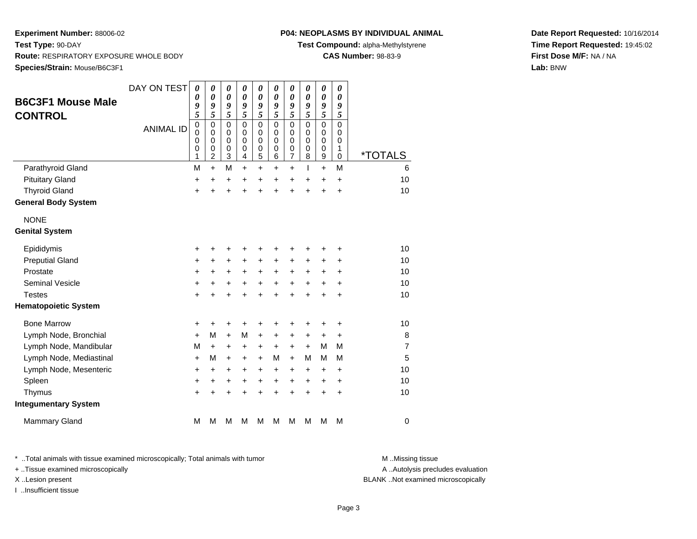### **P04: NEOPLASMS BY INDIVIDUAL ANIMAL**

**Test Compound:** alpha-Methylstyrene

**CAS Number:** 98-83-9

**Date Report Requested:** 10/16/2014**Time Report Requested:** 19:45:02**First Dose M/F:** NA / NA**Lab:** BNW

| <b>B6C3F1 Mouse Male</b><br><b>CONTROL</b> | DAY ON TEST<br><b>ANIMAL ID</b> | $\boldsymbol{\theta}$<br>0<br>9<br>5<br>$\mathbf 0$<br>$\mathbf 0$<br>0<br>0<br>1 | $\boldsymbol{\theta}$<br>$\boldsymbol{\theta}$<br>9<br>$\overline{5}$<br>$\mathbf 0$<br>$\mathbf 0$<br>0<br>$\mathbf 0$<br>$\overline{c}$ | 0<br>0<br>9<br>5<br>$\mathbf 0$<br>$\mathbf 0$<br>0<br>0<br>3 | 0<br>0<br>9<br>5<br>$\mathbf 0$<br>$\Omega$<br>$\Omega$<br>0<br>4 | 0<br>0<br>9<br>5<br>$\mathbf 0$<br>$\Omega$<br>0<br>0<br>5 | 0<br>0<br>9<br>5<br>0<br>$\Omega$<br>$\Omega$<br>0<br>6 | 0<br>0<br>9<br>5<br>$\mathbf 0$<br>$\mathbf 0$<br>0<br>0<br>$\overline{7}$ | 0<br>0<br>9<br>5<br>$\mathbf 0$<br>$\Omega$<br>$\Omega$<br>0<br>8 | $\pmb{\theta}$<br>$\boldsymbol{\theta}$<br>9<br>5<br>$\mathsf 0$<br>0<br>$\mathbf 0$<br>0<br>$\boldsymbol{9}$ | 0<br>$\theta$<br>9<br>5<br>$\mathbf 0$<br>$\Omega$<br>0<br>1<br>$\mathbf 0$ | <i><b>*TOTALS</b></i> |
|--------------------------------------------|---------------------------------|-----------------------------------------------------------------------------------|-------------------------------------------------------------------------------------------------------------------------------------------|---------------------------------------------------------------|-------------------------------------------------------------------|------------------------------------------------------------|---------------------------------------------------------|----------------------------------------------------------------------------|-------------------------------------------------------------------|---------------------------------------------------------------------------------------------------------------|-----------------------------------------------------------------------------|-----------------------|
| Parathyroid Gland                          |                                 | M                                                                                 | $+$                                                                                                                                       | M                                                             | $\ddot{}$                                                         | $\ddot{}$                                                  | $\ddot{}$                                               | $\ddot{}$                                                                  | T                                                                 | $+$                                                                                                           | M                                                                           | 6                     |
| <b>Pituitary Gland</b>                     |                                 | +                                                                                 | $\ddot{}$                                                                                                                                 | +                                                             | $\ddot{}$                                                         | $\ddot{}$                                                  | $\ddot{}$                                               | $\ddot{}$                                                                  | +                                                                 | +                                                                                                             | $\ddot{}$                                                                   | 10                    |
| <b>Thyroid Gland</b>                       |                                 | $\ddot{}$                                                                         |                                                                                                                                           | $\ddot{}$                                                     | Ŧ.                                                                | $\ddot{}$                                                  | $\ddot{}$                                               | $\ddot{}$                                                                  | $\ddot{}$                                                         | $\ddot{}$                                                                                                     | $\ddot{}$                                                                   | 10                    |
| <b>General Body System</b>                 |                                 |                                                                                   |                                                                                                                                           |                                                               |                                                                   |                                                            |                                                         |                                                                            |                                                                   |                                                                                                               |                                                                             |                       |
| <b>NONE</b>                                |                                 |                                                                                   |                                                                                                                                           |                                                               |                                                                   |                                                            |                                                         |                                                                            |                                                                   |                                                                                                               |                                                                             |                       |
| <b>Genital System</b>                      |                                 |                                                                                   |                                                                                                                                           |                                                               |                                                                   |                                                            |                                                         |                                                                            |                                                                   |                                                                                                               |                                                                             |                       |
| Epididymis                                 |                                 | +                                                                                 | +                                                                                                                                         | +                                                             | +                                                                 | +                                                          | +                                                       | +                                                                          | +                                                                 | +                                                                                                             | +                                                                           | 10                    |
| <b>Preputial Gland</b>                     |                                 | $\ddot{}$                                                                         | +                                                                                                                                         | +                                                             | $\ddot{}$                                                         | $\ddot{}$                                                  | $\ddot{}$                                               | +                                                                          | +                                                                 | +                                                                                                             | +                                                                           | 10                    |
| Prostate                                   |                                 | $\ddot{}$                                                                         | $\ddot{}$                                                                                                                                 | +                                                             | $\ddot{}$                                                         | $\ddot{}$                                                  | $\ddot{}$                                               | $\ddot{}$                                                                  | $\ddot{}$                                                         | $\pm$                                                                                                         | $\ddot{}$                                                                   | 10                    |
| <b>Seminal Vesicle</b>                     |                                 | $\ddot{}$                                                                         | +                                                                                                                                         | +                                                             | +                                                                 | $\ddot{}$                                                  | $\ddot{}$                                               | $\ddot{}$                                                                  | $\ddot{}$                                                         | $\ddot{}$                                                                                                     | $\ddot{}$                                                                   | 10                    |
| <b>Testes</b>                              |                                 | $\ddot{}$                                                                         |                                                                                                                                           | $\ddot{}$                                                     |                                                                   | $\ddot{}$                                                  | ÷                                                       | $\ddot{}$                                                                  | $\ddot{}$                                                         | $\ddot{}$                                                                                                     | $\ddot{}$                                                                   | 10                    |
| <b>Hematopoietic System</b>                |                                 |                                                                                   |                                                                                                                                           |                                                               |                                                                   |                                                            |                                                         |                                                                            |                                                                   |                                                                                                               |                                                                             |                       |
| <b>Bone Marrow</b>                         |                                 | +                                                                                 | +                                                                                                                                         | +                                                             | +                                                                 | +                                                          | +                                                       | +                                                                          | +                                                                 | +                                                                                                             | +                                                                           | 10                    |
| Lymph Node, Bronchial                      |                                 | $\ddot{}$                                                                         | М                                                                                                                                         | $\ddot{}$                                                     | M                                                                 | $\ddot{}$                                                  | +                                                       | $\ddot{}$                                                                  | +                                                                 | $\ddot{}$                                                                                                     | $\ddot{}$                                                                   | 8                     |
| Lymph Node, Mandibular                     |                                 | M                                                                                 | $\ddot{}$                                                                                                                                 | +                                                             | +                                                                 | +                                                          | +                                                       | +                                                                          | $\ddot{}$                                                         | М                                                                                                             | M                                                                           | $\overline{7}$        |
| Lymph Node, Mediastinal                    |                                 | $\ddot{}$                                                                         | M                                                                                                                                         | +                                                             | $\ddot{}$                                                         | $\ddot{}$                                                  | М                                                       | $\ddot{}$                                                                  | м                                                                 | М                                                                                                             | M                                                                           | 5                     |
| Lymph Node, Mesenteric                     |                                 | $\ddot{}$                                                                         | $\ddot{}$                                                                                                                                 | $\pm$                                                         | $\ddot{}$                                                         | +                                                          | $\ddot{}$                                               | +                                                                          | $\ddot{}$                                                         | $\pm$                                                                                                         | +                                                                           | 10                    |
| Spleen                                     |                                 | +                                                                                 | $\ddot{}$                                                                                                                                 | +                                                             | +                                                                 | +                                                          | $\ddot{}$                                               | +                                                                          | $\ddot{}$                                                         | +                                                                                                             | $\ddot{}$                                                                   | 10                    |
| Thymus                                     |                                 | $\ddot{}$                                                                         | $\ddot{}$                                                                                                                                 | $\ddot{}$                                                     | $\ddot{}$                                                         | $\ddot{}$                                                  | ÷                                                       | $\ddot{}$                                                                  | ÷                                                                 | $\ddot{}$                                                                                                     | $\ddot{}$                                                                   | 10                    |
| <b>Integumentary System</b>                |                                 |                                                                                   |                                                                                                                                           |                                                               |                                                                   |                                                            |                                                         |                                                                            |                                                                   |                                                                                                               |                                                                             |                       |
| <b>Mammary Gland</b>                       |                                 | M                                                                                 | M                                                                                                                                         | M                                                             | M                                                                 | M                                                          | М                                                       | М                                                                          | M                                                                 | М                                                                                                             | M                                                                           | $\mathbf 0$           |

\* ..Total animals with tissue examined microscopically; Total animals with tumor **M** . Missing tissue M ..Missing tissue

+ ..Tissue examined microscopically

I ..Insufficient tissue

A ..Autolysis precludes evaluation

X ..Lesion present BLANK ..Not examined microscopically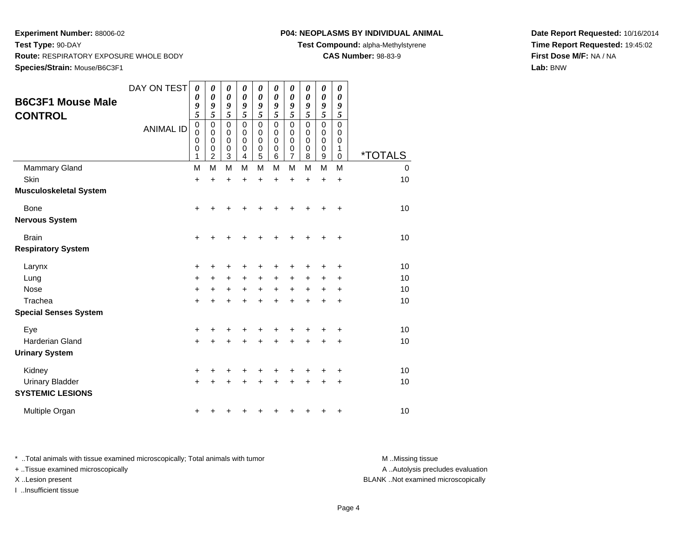#### **P04: NEOPLASMS BY INDIVIDUAL ANIMAL**

**Test Compound:** alpha-Methylstyrene

**CAS Number:** 98-83-9

**Date Report Requested:** 10/16/2014**Time Report Requested:** 19:45:02**First Dose M/F:** NA / NA**Lab:** BNW

| <b>B6C3F1 Mouse Male</b><br><b>CONTROL</b>        | DAY ON TEST<br><b>ANIMAL ID</b> | 0<br>0<br>9<br>5<br>$\mathbf 0$<br>0<br>0<br>$\boldsymbol{0}$<br>1 | 0<br>$\boldsymbol{\theta}$<br>9<br>5<br>$\mathbf 0$<br>0<br>0<br>0<br>2 | 0<br>$\boldsymbol{\theta}$<br>9<br>5<br>$\mathbf 0$<br>$\mathbf 0$<br>$\mathbf 0$<br>0<br>3 | 0<br>0<br>9<br>5<br>$\mathsf 0$<br>0<br>0<br>0<br>4 | 0<br>$\boldsymbol{\theta}$<br>9<br>$\overline{5}$<br>$\mathsf 0$<br>0<br>0<br>0<br>5 | 0<br>0<br>9<br>5<br>$\mathbf 0$<br>0<br>0<br>0<br>6 | 0<br>$\boldsymbol{\theta}$<br>9<br>$\overline{5}$<br>$\pmb{0}$<br>$\mathbf 0$<br>0<br>0<br>$\overline{7}$ | 0<br>$\boldsymbol{\theta}$<br>9<br>5<br>$\mathbf 0$<br>0<br>0<br>0<br>8 | 0<br>$\boldsymbol{\theta}$<br>9<br>5<br>$\mathbf 0$<br>0<br>0<br>0<br>9 | 0<br>0<br>9<br>5<br>$\mathsf 0$<br>0<br>0<br>1<br>0 | <i><b>*TOTALS</b></i> |
|---------------------------------------------------|---------------------------------|--------------------------------------------------------------------|-------------------------------------------------------------------------|---------------------------------------------------------------------------------------------|-----------------------------------------------------|--------------------------------------------------------------------------------------|-----------------------------------------------------|-----------------------------------------------------------------------------------------------------------|-------------------------------------------------------------------------|-------------------------------------------------------------------------|-----------------------------------------------------|-----------------------|
| <b>Mammary Gland</b>                              |                                 | M                                                                  | M                                                                       | M                                                                                           | M                                                   | M                                                                                    | M                                                   | M                                                                                                         | M                                                                       | M                                                                       | M                                                   | $\mathbf 0$           |
| Skin                                              |                                 | $\ddot{}$                                                          | $\ddot{}$                                                               | $\ddot{}$                                                                                   | $\ddot{}$                                           | $\ddot{}$                                                                            | $\ddot{}$                                           | $\ddot{}$                                                                                                 | $\ddot{}$                                                               | $\ddot{}$                                                               | $\ddot{}$                                           | 10                    |
| <b>Musculoskeletal System</b>                     |                                 |                                                                    |                                                                         |                                                                                             |                                                     |                                                                                      |                                                     |                                                                                                           |                                                                         |                                                                         |                                                     |                       |
| <b>Bone</b>                                       |                                 | $\ddot{}$                                                          | +                                                                       | +                                                                                           |                                                     |                                                                                      |                                                     |                                                                                                           |                                                                         |                                                                         | +                                                   | 10                    |
| <b>Nervous System</b>                             |                                 |                                                                    |                                                                         |                                                                                             |                                                     |                                                                                      |                                                     |                                                                                                           |                                                                         |                                                                         |                                                     |                       |
| <b>Brain</b>                                      |                                 | +                                                                  |                                                                         |                                                                                             |                                                     |                                                                                      |                                                     |                                                                                                           |                                                                         |                                                                         | +                                                   | 10                    |
| <b>Respiratory System</b>                         |                                 |                                                                    |                                                                         |                                                                                             |                                                     |                                                                                      |                                                     |                                                                                                           |                                                                         |                                                                         |                                                     |                       |
| Larynx                                            |                                 | +                                                                  | +                                                                       | +                                                                                           | +                                                   | +                                                                                    |                                                     | +                                                                                                         |                                                                         |                                                                         | +                                                   | 10                    |
| Lung                                              |                                 | $\ddot{}$                                                          | $\ddot{}$                                                               | $\ddot{}$                                                                                   | $\ddot{}$                                           | $\ddot{}$                                                                            | $\ddot{}$                                           | $\ddot{}$                                                                                                 | $\ddot{}$                                                               | $\ddot{}$                                                               | +                                                   | 10                    |
| <b>Nose</b>                                       |                                 | +                                                                  | +                                                                       | $\ddot{}$                                                                                   | $\ddot{}$                                           | $\ddot{}$                                                                            | $\ddot{}$                                           | $\ddot{}$                                                                                                 | $\ddot{}$                                                               | $\ddot{}$                                                               | +                                                   | 10                    |
| Trachea                                           |                                 | $\ddot{}$                                                          |                                                                         | $\ddot{}$                                                                                   |                                                     | $\ddot{}$                                                                            |                                                     | $\ddot{}$                                                                                                 |                                                                         |                                                                         | +                                                   | 10                    |
| <b>Special Senses System</b>                      |                                 |                                                                    |                                                                         |                                                                                             |                                                     |                                                                                      |                                                     |                                                                                                           |                                                                         |                                                                         |                                                     |                       |
| Eye                                               |                                 | +                                                                  | +                                                                       | +                                                                                           |                                                     | +                                                                                    |                                                     |                                                                                                           |                                                                         |                                                                         | +                                                   | 10                    |
| <b>Harderian Gland</b>                            |                                 | $\ddot{}$                                                          |                                                                         |                                                                                             |                                                     | +                                                                                    |                                                     | +                                                                                                         |                                                                         |                                                                         | +                                                   | 10                    |
| <b>Urinary System</b>                             |                                 |                                                                    |                                                                         |                                                                                             |                                                     |                                                                                      |                                                     |                                                                                                           |                                                                         |                                                                         |                                                     |                       |
| Kidney                                            |                                 | +                                                                  | +                                                                       | +                                                                                           |                                                     |                                                                                      |                                                     | +                                                                                                         |                                                                         |                                                                         | +                                                   | 10                    |
| <b>Urinary Bladder</b><br><b>SYSTEMIC LESIONS</b> |                                 | $\ddot{}$                                                          |                                                                         |                                                                                             |                                                     |                                                                                      |                                                     | +                                                                                                         |                                                                         | +                                                                       | +                                                   | 10                    |
| Multiple Organ                                    |                                 | +                                                                  | ٠                                                                       |                                                                                             |                                                     |                                                                                      |                                                     |                                                                                                           |                                                                         |                                                                         | +                                                   | 10                    |

\* ..Total animals with tissue examined microscopically; Total animals with tumor **M** . Missing tissue M ..Missing tissue + ..Tissue examined microscopically

I ..Insufficient tissue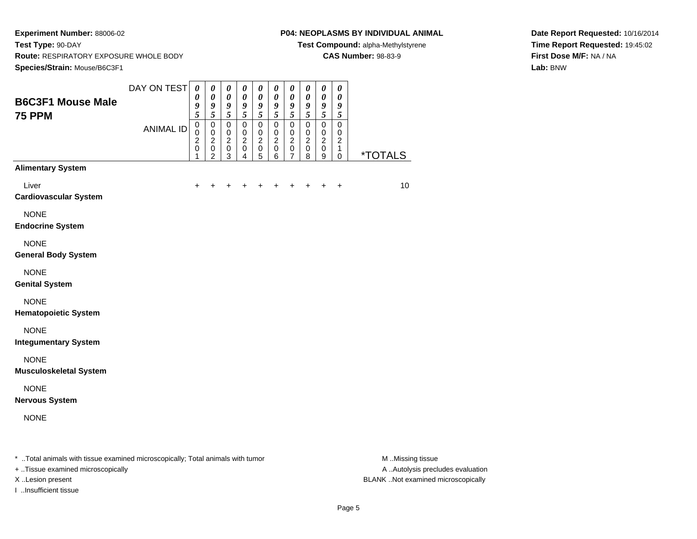#### **P04: NEOPLASMS BY INDIVIDUAL ANIMAL**

**Test Compound:** alpha-Methylstyrene

**CAS Number:** 98-83-9

**Date Report Requested:** 10/16/2014**Time Report Requested:** 19:45:02**First Dose M/F:** NA / NA**Lab:** BNW

| <b>B6C3F1 Mouse Male</b>                                                       | DAY ON TEST      | $\boldsymbol{\theta}$<br>0<br>9                                        | $\boldsymbol{\theta}$<br>$\boldsymbol{\theta}$<br>9                              | $\pmb{\theta}$<br>$\pmb{\theta}$<br>9                                                                | $\boldsymbol{\theta}$<br>$\pmb{\theta}$<br>9                                                   | $\boldsymbol{\theta}$<br>0<br>9                             | $\pmb{\theta}$<br>$\pmb{\theta}$                                        | $\boldsymbol{\theta}$<br>$\boldsymbol{\theta}$<br>9             | $\pmb{\theta}$<br>0<br>9                                                                       | $\boldsymbol{\theta}$<br>$\pmb{\theta}$<br>$\boldsymbol{g}$                            | $\boldsymbol{\theta}$<br>$\boldsymbol{\theta}$<br>9         |                       |
|--------------------------------------------------------------------------------|------------------|------------------------------------------------------------------------|----------------------------------------------------------------------------------|------------------------------------------------------------------------------------------------------|------------------------------------------------------------------------------------------------|-------------------------------------------------------------|-------------------------------------------------------------------------|-----------------------------------------------------------------|------------------------------------------------------------------------------------------------|----------------------------------------------------------------------------------------|-------------------------------------------------------------|-----------------------|
| <b>75 PPM</b>                                                                  | <b>ANIMAL ID</b> | 5<br>$\overline{0}$<br>$\pmb{0}$<br>$\boldsymbol{2}$<br>$\pmb{0}$<br>1 | 5<br>$\mathbf 0$<br>$\pmb{0}$<br>$\boldsymbol{2}$<br>$\pmb{0}$<br>$\overline{2}$ | $\overline{\mathbf{5}}$<br>$\pmb{0}$<br>$\pmb{0}$<br>$\boldsymbol{2}$<br>$\pmb{0}$<br>$\overline{3}$ | $\overline{5}$<br>$\overline{0}$<br>$\pmb{0}$<br>$\overline{c}$<br>$\pmb{0}$<br>$\overline{4}$ | 5<br>$\mathbf 0$<br>0<br>$\boldsymbol{2}$<br>$\pmb{0}$<br>5 | $\frac{9}{5}$<br>$\mathbf 0$<br>0<br>$\boldsymbol{2}$<br>$\pmb{0}$<br>6 | 5<br>$\mathbf 0$<br>$\pmb{0}$<br>$\overline{c}$<br>$\,0\,$<br>7 | $\overline{\mathbf{5}}$<br>$\mathsf 0$<br>0<br>$\overline{2}$<br>$\mathsf 0$<br>$\overline{8}$ | $\sqrt{5}$<br>$\overline{0}$<br>0<br>$\boldsymbol{2}$<br>$\pmb{0}$<br>$\boldsymbol{9}$ | 5<br>$\mathbf 0$<br>$\pmb{0}$<br>$\boldsymbol{2}$<br>1<br>0 | <i><b>*TOTALS</b></i> |
| <b>Alimentary System</b>                                                       |                  |                                                                        |                                                                                  |                                                                                                      |                                                                                                |                                                             |                                                                         |                                                                 |                                                                                                |                                                                                        |                                                             |                       |
| Liver<br><b>Cardiovascular System</b>                                          |                  | ÷                                                                      |                                                                                  |                                                                                                      |                                                                                                |                                                             |                                                                         |                                                                 |                                                                                                |                                                                                        | +                                                           | 10                    |
| <b>NONE</b><br><b>Endocrine System</b>                                         |                  |                                                                        |                                                                                  |                                                                                                      |                                                                                                |                                                             |                                                                         |                                                                 |                                                                                                |                                                                                        |                                                             |                       |
| <b>NONE</b><br><b>General Body System</b>                                      |                  |                                                                        |                                                                                  |                                                                                                      |                                                                                                |                                                             |                                                                         |                                                                 |                                                                                                |                                                                                        |                                                             |                       |
| <b>NONE</b><br><b>Genital System</b>                                           |                  |                                                                        |                                                                                  |                                                                                                      |                                                                                                |                                                             |                                                                         |                                                                 |                                                                                                |                                                                                        |                                                             |                       |
| <b>NONE</b><br><b>Hematopoietic System</b>                                     |                  |                                                                        |                                                                                  |                                                                                                      |                                                                                                |                                                             |                                                                         |                                                                 |                                                                                                |                                                                                        |                                                             |                       |
| <b>NONE</b><br><b>Integumentary System</b>                                     |                  |                                                                        |                                                                                  |                                                                                                      |                                                                                                |                                                             |                                                                         |                                                                 |                                                                                                |                                                                                        |                                                             |                       |
| <b>NONE</b><br><b>Musculoskeletal System</b>                                   |                  |                                                                        |                                                                                  |                                                                                                      |                                                                                                |                                                             |                                                                         |                                                                 |                                                                                                |                                                                                        |                                                             |                       |
| <b>NONE</b><br><b>Nervous System</b>                                           |                  |                                                                        |                                                                                  |                                                                                                      |                                                                                                |                                                             |                                                                         |                                                                 |                                                                                                |                                                                                        |                                                             |                       |
| <b>NONE</b>                                                                    |                  |                                                                        |                                                                                  |                                                                                                      |                                                                                                |                                                             |                                                                         |                                                                 |                                                                                                |                                                                                        |                                                             |                       |
| * Total animals with tissue examined microscopically; Total animals with tumor |                  |                                                                        |                                                                                  |                                                                                                      |                                                                                                |                                                             |                                                                         |                                                                 |                                                                                                |                                                                                        |                                                             | M Missing tissue      |

+ ..Tissue examined microscopically

I ..Insufficient tissue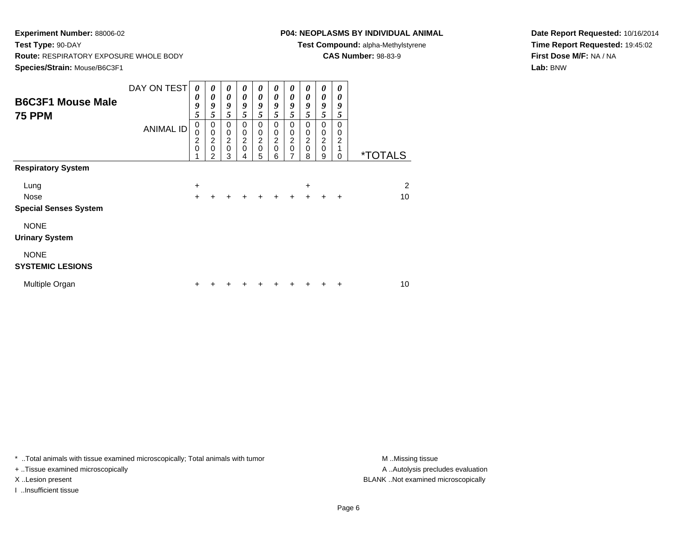### **P04: NEOPLASMS BY INDIVIDUAL ANIMAL**

**Test Compound:** alpha-Methylstyrene

**CAS Number:** 98-83-9

**Date Report Requested:** 10/16/2014**Time Report Requested:** 19:45:02**First Dose M/F:** NA / NA**Lab:** BNW

| <b>B6C3F1 Mouse Male</b><br><b>75 PPM</b> | DAY ON TEST<br><b>ANIMAL ID</b> | 0<br>0<br>9<br>5<br>$\mathbf 0$<br>0<br>2<br>$\mathbf 0$ | 0<br>0<br>9<br>5<br>0<br>$\pmb{0}$<br>$\boldsymbol{2}$<br>$\mathbf 0$ | 0<br>0<br>9<br>5<br>0<br>$\pmb{0}$<br>$\boldsymbol{2}$<br>$\mathbf 0$ | 0<br>0<br>9<br>5<br>0<br>$\mathbf 0$<br>$\overline{c}$<br>$\mathbf 0$ | 0<br>$\boldsymbol{\theta}$<br>9<br>5<br>0<br>$\mathbf 0$<br>$\boldsymbol{2}$<br>$\mathbf 0$ | 0<br>0<br>9<br>5<br>0<br>$\pmb{0}$<br>$\frac{2}{0}$ | 0<br>0<br>9<br>5<br>0<br>$\pmb{0}$<br>$\frac{2}{0}$ | 0<br>0<br>9<br>5<br>0<br>$\begin{matrix}0\\2\\0\end{matrix}$ | 0<br>0<br>9<br>5<br>$\mathbf 0$<br>$\begin{matrix} 0 \\ 2 \\ 0 \end{matrix}$ | 0<br>0<br>9<br>5<br>0<br>0<br>$\overline{\mathbf{c}}$ |                       |
|-------------------------------------------|---------------------------------|----------------------------------------------------------|-----------------------------------------------------------------------|-----------------------------------------------------------------------|-----------------------------------------------------------------------|---------------------------------------------------------------------------------------------|-----------------------------------------------------|-----------------------------------------------------|--------------------------------------------------------------|------------------------------------------------------------------------------|-------------------------------------------------------|-----------------------|
|                                           |                                 |                                                          | $\mathcal{P}$                                                         | 3                                                                     | 4                                                                     | 5                                                                                           | 6                                                   | $\overline{7}$                                      | 8                                                            | 9                                                                            | 0                                                     | <i><b>*TOTALS</b></i> |
| <b>Respiratory System</b>                 |                                 |                                                          |                                                                       |                                                                       |                                                                       |                                                                                             |                                                     |                                                     |                                                              |                                                                              |                                                       |                       |
| Lung                                      |                                 | +                                                        |                                                                       |                                                                       |                                                                       |                                                                                             |                                                     |                                                     | $\ddot{}$                                                    |                                                                              |                                                       | $\overline{c}$        |
| <b>Nose</b>                               |                                 | $\ddot{}$                                                |                                                                       | ÷                                                                     | $\ddot{}$                                                             | $\ddot{}$                                                                                   | $\ddot{}$                                           | $+$                                                 | $\ddot{}$                                                    | $\ddot{}$                                                                    | +                                                     | 10                    |
| <b>Special Senses System</b>              |                                 |                                                          |                                                                       |                                                                       |                                                                       |                                                                                             |                                                     |                                                     |                                                              |                                                                              |                                                       |                       |
| <b>NONE</b><br><b>Urinary System</b>      |                                 |                                                          |                                                                       |                                                                       |                                                                       |                                                                                             |                                                     |                                                     |                                                              |                                                                              |                                                       |                       |
| <b>NONE</b><br><b>SYSTEMIC LESIONS</b>    |                                 |                                                          |                                                                       |                                                                       |                                                                       |                                                                                             |                                                     |                                                     |                                                              |                                                                              |                                                       |                       |
| Multiple Organ                            |                                 | ٠                                                        |                                                                       |                                                                       |                                                                       |                                                                                             |                                                     |                                                     |                                                              | ٠                                                                            | ٠                                                     | 10                    |

\* ..Total animals with tissue examined microscopically; Total animals with tumor **M** . Missing tissue M ..Missing tissue

+ ..Tissue examined microscopically

I ..Insufficient tissue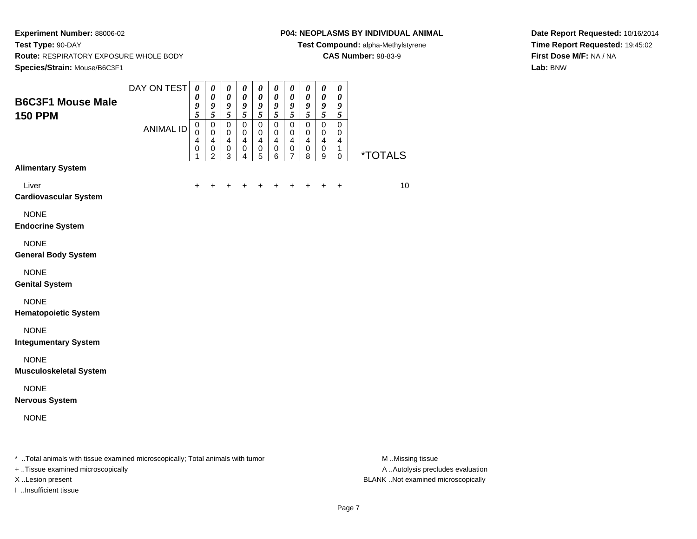#### **P04: NEOPLASMS BY INDIVIDUAL ANIMAL**

**Test Compound:** alpha-Methylstyrene

**CAS Number:** 98-83-9

**Date Report Requested:** 10/16/2014**Time Report Requested:** 19:45:02**First Dose M/F:** NA / NA**Lab:** BNW

| <b>B6C3F1 Mouse Male</b>                                                       | DAY ON TEST      | $\boldsymbol{\theta}$<br>$\boldsymbol{\theta}$<br>9         | 0<br>$\pmb{\theta}$<br>9                                       | 0<br>$\boldsymbol{\theta}$<br>9                                                       | 0<br>$\boldsymbol{\theta}$<br>9                                              | 0<br>$\boldsymbol{\theta}$<br>9                                      | 0<br>$\pmb{\theta}$<br>9                                            | 0<br>$\boldsymbol{\theta}$<br>9                                                    | 0<br>$\pmb{\theta}$<br>9                               | $\boldsymbol{\theta}$<br>$\pmb{\theta}$<br>$\boldsymbol{9}$                    | $\boldsymbol{\theta}$<br>$\boldsymbol{\theta}$<br>9                 |                       |
|--------------------------------------------------------------------------------|------------------|-------------------------------------------------------------|----------------------------------------------------------------|---------------------------------------------------------------------------------------|------------------------------------------------------------------------------|----------------------------------------------------------------------|---------------------------------------------------------------------|------------------------------------------------------------------------------------|--------------------------------------------------------|--------------------------------------------------------------------------------|---------------------------------------------------------------------|-----------------------|
| <b>150 PPM</b>                                                                 | <b>ANIMAL ID</b> | 5<br>$\pmb{0}$<br>$\mathbf 0$<br>4<br>$\boldsymbol{0}$<br>1 | 5<br>0<br>$\mathbf 0$<br>$\overline{4}$<br>0<br>$\overline{2}$ | $\sqrt{5}$<br>$\mathbf 0$<br>$\mathbf 0$<br>$\overline{\mathbf{4}}$<br>$\pmb{0}$<br>3 | 5<br>$\mathsf 0$<br>$\mathbf 0$<br>$\overline{\mathbf{4}}$<br>$\pmb{0}$<br>4 | 5<br>$\mathsf 0$<br>0<br>$\overline{\mathbf{4}}$<br>$\mathsf 0$<br>5 | $\mathfrak{s}$<br>$\mathsf 0$<br>$\mathbf 0$<br>4<br>$\pmb{0}$<br>6 | 5<br>$\mathsf 0$<br>$\mathbf 0$<br>$\overline{4}$<br>$\mathbf 0$<br>$\overline{7}$ | 5<br>$\mathsf 0$<br>$\mathbf 0$<br>4<br>$\pmb{0}$<br>8 | $\mathfrak{s}$<br>$\pmb{0}$<br>$\mathbf 0$<br>$\overline{4}$<br>$\pmb{0}$<br>9 | 5<br>$\mathbf 0$<br>$\mathbf 0$<br>4<br>$\mathbf{1}$<br>$\mathbf 0$ | <i><b>*TOTALS</b></i> |
| <b>Alimentary System</b>                                                       |                  |                                                             |                                                                |                                                                                       |                                                                              |                                                                      |                                                                     |                                                                                    |                                                        |                                                                                |                                                                     |                       |
| Liver<br><b>Cardiovascular System</b>                                          |                  | ÷                                                           |                                                                |                                                                                       |                                                                              |                                                                      |                                                                     |                                                                                    |                                                        |                                                                                | $\ddot{}$                                                           | 10                    |
| <b>NONE</b><br><b>Endocrine System</b>                                         |                  |                                                             |                                                                |                                                                                       |                                                                              |                                                                      |                                                                     |                                                                                    |                                                        |                                                                                |                                                                     |                       |
| <b>NONE</b><br><b>General Body System</b>                                      |                  |                                                             |                                                                |                                                                                       |                                                                              |                                                                      |                                                                     |                                                                                    |                                                        |                                                                                |                                                                     |                       |
| <b>NONE</b><br><b>Genital System</b>                                           |                  |                                                             |                                                                |                                                                                       |                                                                              |                                                                      |                                                                     |                                                                                    |                                                        |                                                                                |                                                                     |                       |
| <b>NONE</b><br><b>Hematopoietic System</b>                                     |                  |                                                             |                                                                |                                                                                       |                                                                              |                                                                      |                                                                     |                                                                                    |                                                        |                                                                                |                                                                     |                       |
| <b>NONE</b><br><b>Integumentary System</b>                                     |                  |                                                             |                                                                |                                                                                       |                                                                              |                                                                      |                                                                     |                                                                                    |                                                        |                                                                                |                                                                     |                       |
| <b>NONE</b><br><b>Musculoskeletal System</b>                                   |                  |                                                             |                                                                |                                                                                       |                                                                              |                                                                      |                                                                     |                                                                                    |                                                        |                                                                                |                                                                     |                       |
| <b>NONE</b><br><b>Nervous System</b>                                           |                  |                                                             |                                                                |                                                                                       |                                                                              |                                                                      |                                                                     |                                                                                    |                                                        |                                                                                |                                                                     |                       |
| <b>NONE</b>                                                                    |                  |                                                             |                                                                |                                                                                       |                                                                              |                                                                      |                                                                     |                                                                                    |                                                        |                                                                                |                                                                     |                       |
| * Total animals with tissue examined microscopically; Total animals with tumor |                  |                                                             |                                                                |                                                                                       |                                                                              |                                                                      |                                                                     |                                                                                    |                                                        |                                                                                |                                                                     | M Missing tissue      |

+ ..Tissue examined microscopically

I ..Insufficient tissue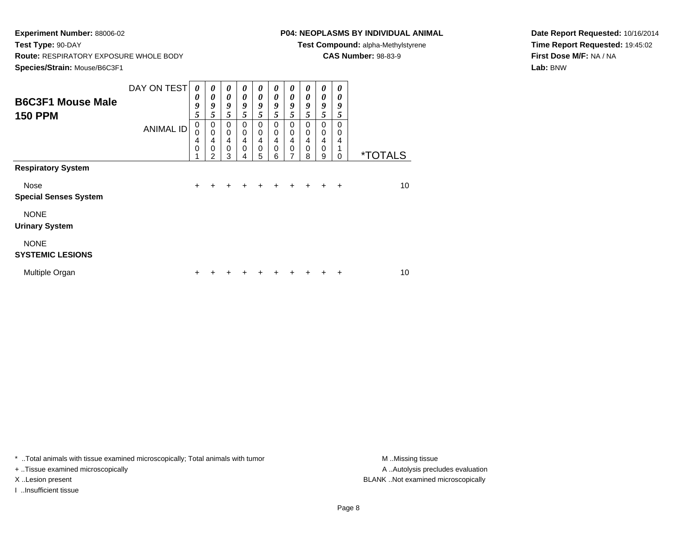# **P04: NEOPLASMS BY INDIVIDUAL ANIMAL**

**Test Compound:** alpha-Methylstyrene

**CAS Number:** 98-83-9

**Date Report Requested:** 10/16/2014**Time Report Requested:** 19:45:02**First Dose M/F:** NA / NA**Lab:** BNW

| <b>B6C3F1 Mouse Male</b>               | DAY ON TEST      | 0<br>0                | 0<br>0                             | 0<br>0                          | 0<br>0      | 0<br>0                   | 0<br>0      | 0<br>0                             | 0<br>0      | 0<br>0         | $\boldsymbol{\theta}$<br>0 |                       |
|----------------------------------------|------------------|-----------------------|------------------------------------|---------------------------------|-------------|--------------------------|-------------|------------------------------------|-------------|----------------|----------------------------|-----------------------|
| <b>150 PPM</b>                         |                  | 9<br>5                | 9<br>5                             | 9<br>5                          | 9<br>5      | 9<br>5                   | 9<br>5      | 9<br>5                             | 9<br>5      | 9<br>5         | 9<br>5                     |                       |
|                                        | <b>ANIMAL ID</b> | $\mathbf 0$<br>0<br>4 | 0<br>$\mathbf 0$<br>$\overline{4}$ | $\Omega$<br>0<br>$\overline{4}$ | 0<br>0<br>4 | 0<br>0<br>$\overline{4}$ | 0<br>0<br>4 | 0<br>$\mathbf 0$<br>$\overline{4}$ | 0<br>0<br>4 | 0<br>0<br>4    | 0<br>0<br>4                |                       |
|                                        |                  | 0                     | $\mathbf 0$<br>$\mathfrak{p}$      | $\mathbf 0$<br>3                | $\mathbf 0$ | $\mathbf 0$<br>5         | 0<br>6      | $\mathbf 0$<br>7                   | 0<br>8      | $\pmb{0}$<br>9 | $\Omega$                   | <i><b>*TOTALS</b></i> |
| <b>Respiratory System</b>              |                  |                       |                                    |                                 |             |                          |             |                                    |             |                |                            |                       |
| Nose<br><b>Special Senses System</b>   |                  | $\ddot{}$             |                                    |                                 |             | $\div$                   | $\pm$       | $\ddot{}$                          | $\ddot{}$   | ÷              | $\ddot{}$                  | 10                    |
| <b>NONE</b><br><b>Urinary System</b>   |                  |                       |                                    |                                 |             |                          |             |                                    |             |                |                            |                       |
| <b>NONE</b><br><b>SYSTEMIC LESIONS</b> |                  |                       |                                    |                                 |             |                          |             |                                    |             |                |                            |                       |
| Multiple Organ                         |                  | ٠                     |                                    |                                 |             |                          |             |                                    |             | +              | ٠                          | 10                    |

\* ..Total animals with tissue examined microscopically; Total animals with tumor **M** . Missing tissue M ..Missing tissue

+ ..Tissue examined microscopically

I ..Insufficient tissue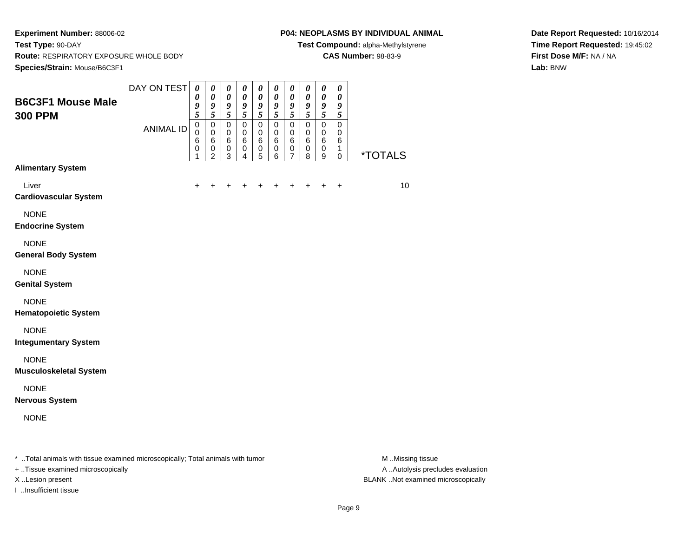#### **P04: NEOPLASMS BY INDIVIDUAL ANIMAL**

**Test Compound:** alpha-Methylstyrene

**CAS Number:** 98-83-9

**Date Report Requested:** 10/16/2014**Time Report Requested:** 19:45:02**First Dose M/F:** NA / NA**Lab:** BNW

| <b>B6C3F1 Mouse Male</b>                                                       | DAY ON TEST      | $\boldsymbol{\theta}$<br>0<br>9                            | $\pmb{\theta}$<br>$\boldsymbol{\theta}$<br>9                                      | $\pmb{\theta}$<br>$\pmb{\theta}$<br>9            | $\pmb{\theta}$<br>$\pmb{\theta}$<br>9                         | 0<br>$\boldsymbol{\theta}$<br>$\boldsymbol{g}$              | $\boldsymbol{\theta}$<br>$\pmb{\theta}$<br>$\boldsymbol{g}$     | $\boldsymbol{\theta}$<br>$\pmb{\theta}$<br>9   | 0<br>0<br>9                | $\boldsymbol{\theta}$<br>$\pmb{\theta}$<br>$\boldsymbol{g}$                  | $\boldsymbol{\theta}$<br>$\boldsymbol{\theta}$<br>9    |                       |
|--------------------------------------------------------------------------------|------------------|------------------------------------------------------------|-----------------------------------------------------------------------------------|--------------------------------------------------|---------------------------------------------------------------|-------------------------------------------------------------|-----------------------------------------------------------------|------------------------------------------------|----------------------------|------------------------------------------------------------------------------|--------------------------------------------------------|-----------------------|
| <b>300 PPM</b>                                                                 | <b>ANIMAL ID</b> | 5<br>$\pmb{0}$<br>$\mathbf 0$<br>$6\phantom{1}6$<br>0<br>1 | $\overline{\mathbf{5}}$<br>$\pmb{0}$<br>$\pmb{0}$<br>$\,6$<br>0<br>$\overline{2}$ | 5<br>$\mathbf 0$<br>$\pmb{0}$<br>$\,6$<br>0<br>3 | $\overline{5}$<br>$\mathbf 0$<br>$\pmb{0}$<br>$\,6$<br>0<br>4 | 5<br>$\mathbf 0$<br>$\mathbf 0$<br>6<br>0<br>$\overline{5}$ | $\overline{5}$<br>$\mathbf 0$<br>$\mathbf 0$<br>$\,6$<br>0<br>6 | 5<br>$\mathbf 0$<br>$\mathbf 0$<br>6<br>0<br>7 | 5<br>0<br>0<br>6<br>0<br>8 | $\sqrt{5}$<br>$\mathbf 0$<br>$\mathbf 0$<br>$\,6\,$<br>0<br>$\boldsymbol{9}$ | 5<br>$\mathbf 0$<br>$\pmb{0}$<br>6<br>1<br>$\mathbf 0$ | <i><b>*TOTALS</b></i> |
| <b>Alimentary System</b>                                                       |                  |                                                            |                                                                                   |                                                  |                                                               |                                                             |                                                                 |                                                |                            |                                                                              |                                                        |                       |
| Liver<br><b>Cardiovascular System</b>                                          |                  | $\ddot{}$                                                  |                                                                                   |                                                  |                                                               |                                                             |                                                                 | +                                              | +                          | +                                                                            | $\ddot{}$                                              | 10                    |
| <b>NONE</b><br><b>Endocrine System</b>                                         |                  |                                                            |                                                                                   |                                                  |                                                               |                                                             |                                                                 |                                                |                            |                                                                              |                                                        |                       |
| <b>NONE</b><br><b>General Body System</b>                                      |                  |                                                            |                                                                                   |                                                  |                                                               |                                                             |                                                                 |                                                |                            |                                                                              |                                                        |                       |
| <b>NONE</b><br><b>Genital System</b>                                           |                  |                                                            |                                                                                   |                                                  |                                                               |                                                             |                                                                 |                                                |                            |                                                                              |                                                        |                       |
| <b>NONE</b><br><b>Hematopoietic System</b>                                     |                  |                                                            |                                                                                   |                                                  |                                                               |                                                             |                                                                 |                                                |                            |                                                                              |                                                        |                       |
| <b>NONE</b><br><b>Integumentary System</b>                                     |                  |                                                            |                                                                                   |                                                  |                                                               |                                                             |                                                                 |                                                |                            |                                                                              |                                                        |                       |
| <b>NONE</b><br><b>Musculoskeletal System</b>                                   |                  |                                                            |                                                                                   |                                                  |                                                               |                                                             |                                                                 |                                                |                            |                                                                              |                                                        |                       |
| <b>NONE</b><br><b>Nervous System</b>                                           |                  |                                                            |                                                                                   |                                                  |                                                               |                                                             |                                                                 |                                                |                            |                                                                              |                                                        |                       |
| <b>NONE</b>                                                                    |                  |                                                            |                                                                                   |                                                  |                                                               |                                                             |                                                                 |                                                |                            |                                                                              |                                                        |                       |
| * Total animals with tissue examined microscopically; Total animals with tumor |                  |                                                            |                                                                                   |                                                  |                                                               |                                                             |                                                                 |                                                |                            |                                                                              |                                                        | M Missing tissue      |

+ ..Tissue examined microscopically

I ..Insufficient tissue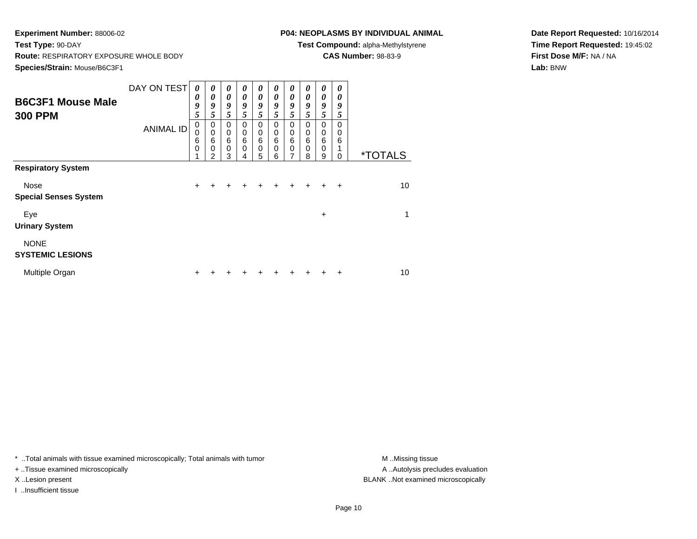### **P04: NEOPLASMS BY INDIVIDUAL ANIMAL**

**Test Compound:** alpha-Methylstyrene

**CAS Number:** 98-83-9

**Date Report Requested:** 10/16/2014**Time Report Requested:** 19:45:02**First Dose M/F:** NA / NA**Lab:** BNW

| <b>B6C3F1 Mouse Male</b><br><b>300 PPM</b> | DAY ON TEST<br><b>ANIMAL ID</b> | $\boldsymbol{\theta}$<br>0<br>9<br>5<br>0<br>0<br>6<br>$\mathbf 0$ | $\boldsymbol{\theta}$<br>0<br>9<br>5<br>0<br>$\mathbf 0$<br>6<br>0<br>2 | 0<br>$\boldsymbol{\theta}$<br>9<br>5<br>0<br>$\mathbf 0$<br>$\,6$<br>$\mathbf 0$<br>3 | $\boldsymbol{\theta}$<br>0<br>9<br>5<br>$\Omega$<br>0<br>6<br>$\mathbf 0$<br>4 | 0<br>$\boldsymbol{\theta}$<br>9<br>5<br>0<br>0<br>6<br>$\mathbf 0$<br>5 | 0<br>0<br>9<br>5<br>$\Omega$<br>0<br>6<br>$\mathbf 0$<br>6 | 0<br>0<br>9<br>5<br>$\Omega$<br>0<br>6<br>$\pmb{0}$<br>$\overline{ }$ | 0<br>0<br>9<br>5<br>$\Omega$<br>0<br>6<br>0<br>8 | 0<br>0<br>9<br>5<br>0<br>0<br>6<br>0<br>9 | 0<br>0<br>9<br>5<br>0<br>0<br>6<br>0 | <i><b>*TOTALS</b></i> |
|--------------------------------------------|---------------------------------|--------------------------------------------------------------------|-------------------------------------------------------------------------|---------------------------------------------------------------------------------------|--------------------------------------------------------------------------------|-------------------------------------------------------------------------|------------------------------------------------------------|-----------------------------------------------------------------------|--------------------------------------------------|-------------------------------------------|--------------------------------------|-----------------------|
| <b>Respiratory System</b>                  |                                 |                                                                    |                                                                         |                                                                                       |                                                                                |                                                                         |                                                            |                                                                       |                                                  |                                           |                                      |                       |
| Nose<br><b>Special Senses System</b>       |                                 | $\ddot{}$                                                          |                                                                         |                                                                                       |                                                                                |                                                                         |                                                            |                                                                       |                                                  |                                           | $\div$                               | 10                    |
| Eye<br><b>Urinary System</b>               |                                 |                                                                    |                                                                         |                                                                                       |                                                                                |                                                                         |                                                            |                                                                       |                                                  | +                                         |                                      | 1                     |
| <b>NONE</b><br><b>SYSTEMIC LESIONS</b>     |                                 |                                                                    |                                                                         |                                                                                       |                                                                                |                                                                         |                                                            |                                                                       |                                                  |                                           |                                      |                       |
| Multiple Organ                             |                                 | ٠                                                                  |                                                                         |                                                                                       |                                                                                |                                                                         |                                                            |                                                                       |                                                  |                                           | +                                    | 10                    |

\* ..Total animals with tissue examined microscopically; Total animals with tumor **M** . Missing tissue M ..Missing tissue

+ ..Tissue examined microscopically

I ..Insufficient tissue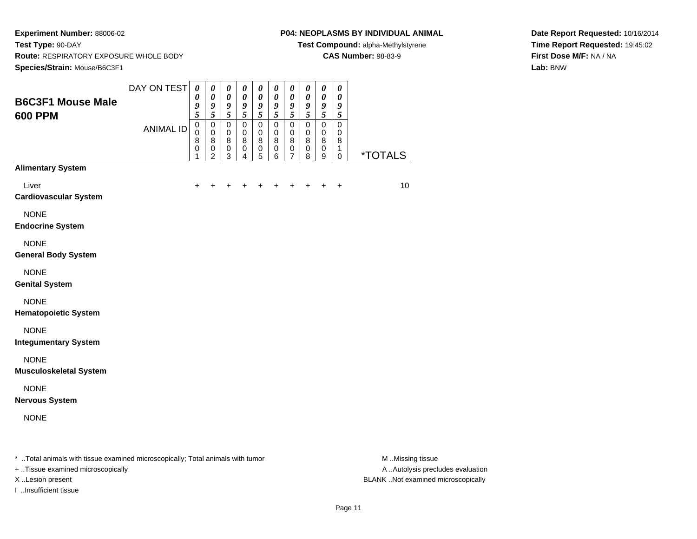#### **P04: NEOPLASMS BY INDIVIDUAL ANIMAL**

**Test Compound:** alpha-Methylstyrene

**CAS Number:** 98-83-9

**Date Report Requested:** 10/16/2014**Time Report Requested:** 19:45:02**First Dose M/F:** NA / NA**Lab:** BNW

| <b>B6C3F1 Mouse Male</b>                                                       | DAY ON TEST      | $\boldsymbol{\theta}$<br>0<br>9                      | $\pmb{\theta}$<br>0<br>9                   | $\pmb{\theta}$<br>0<br>$\boldsymbol{g}$                       | 0<br>$\pmb{\theta}$<br>9                          | $\pmb{\theta}$<br>0<br>9                             | 0<br>$\pmb{\theta}$<br>9           | $\pmb{\theta}$<br>$\pmb{\theta}$<br>$\boldsymbol{g}$ | 0<br>0<br>9                          | $\pmb{\theta}$<br>$\pmb{\theta}$<br>$\boldsymbol{g}$       | $\boldsymbol{\theta}$<br>$\boldsymbol{\theta}$<br>9 |                  |
|--------------------------------------------------------------------------------|------------------|------------------------------------------------------|--------------------------------------------|---------------------------------------------------------------|---------------------------------------------------|------------------------------------------------------|------------------------------------|------------------------------------------------------|--------------------------------------|------------------------------------------------------------|-----------------------------------------------------|------------------|
| <b>600 PPM</b>                                                                 | <b>ANIMAL ID</b> | 5<br>$\pmb{0}$<br>$\mathbf 0$<br>8<br>$\pmb{0}$<br>1 | 5<br>0<br>$\pmb{0}$<br>8<br>$\pmb{0}$<br>2 | $\sqrt{5}$<br>$\mathbf 0$<br>0<br>$\bf8$<br>0<br>$\mathbf{3}$ | $\overline{5}$<br>$\mathsf 0$<br>0<br>8<br>0<br>4 | 5<br>$\mathbf 0$<br>0<br>$\bf 8$<br>$\mathbf 0$<br>5 | 5<br>$\pmb{0}$<br>0<br>8<br>0<br>6 | 5<br>$\mathbf 0$<br>$\mathbf 0$<br>8<br>0<br>7       | 5<br>$\mathsf 0$<br>0<br>8<br>0<br>8 | $\sqrt{5}$<br>$\pmb{0}$<br>0<br>8<br>0<br>$\boldsymbol{9}$ | 5<br>$\pmb{0}$<br>0<br>8<br>1<br>$\mathbf 0$        | *TOTALS          |
| <b>Alimentary System</b>                                                       |                  |                                                      |                                            |                                                               |                                                   |                                                      |                                    |                                                      |                                      |                                                            |                                                     |                  |
| Liver<br><b>Cardiovascular System</b>                                          |                  | ÷                                                    |                                            |                                                               |                                                   |                                                      | +                                  | +                                                    |                                      | ÷                                                          | $\ddot{}$                                           | 10               |
| <b>NONE</b><br><b>Endocrine System</b>                                         |                  |                                                      |                                            |                                                               |                                                   |                                                      |                                    |                                                      |                                      |                                                            |                                                     |                  |
| <b>NONE</b><br><b>General Body System</b>                                      |                  |                                                      |                                            |                                                               |                                                   |                                                      |                                    |                                                      |                                      |                                                            |                                                     |                  |
| <b>NONE</b><br><b>Genital System</b>                                           |                  |                                                      |                                            |                                                               |                                                   |                                                      |                                    |                                                      |                                      |                                                            |                                                     |                  |
| <b>NONE</b><br><b>Hematopoietic System</b>                                     |                  |                                                      |                                            |                                                               |                                                   |                                                      |                                    |                                                      |                                      |                                                            |                                                     |                  |
| <b>NONE</b><br><b>Integumentary System</b>                                     |                  |                                                      |                                            |                                                               |                                                   |                                                      |                                    |                                                      |                                      |                                                            |                                                     |                  |
| <b>NONE</b><br><b>Musculoskeletal System</b>                                   |                  |                                                      |                                            |                                                               |                                                   |                                                      |                                    |                                                      |                                      |                                                            |                                                     |                  |
| <b>NONE</b><br><b>Nervous System</b>                                           |                  |                                                      |                                            |                                                               |                                                   |                                                      |                                    |                                                      |                                      |                                                            |                                                     |                  |
| <b>NONE</b>                                                                    |                  |                                                      |                                            |                                                               |                                                   |                                                      |                                    |                                                      |                                      |                                                            |                                                     |                  |
| * Total animals with tissue examined microscopically; Total animals with tumor |                  |                                                      |                                            |                                                               |                                                   |                                                      |                                    |                                                      |                                      |                                                            |                                                     | M Missing tissue |

+ ..Tissue examined microscopically

I ..Insufficient tissue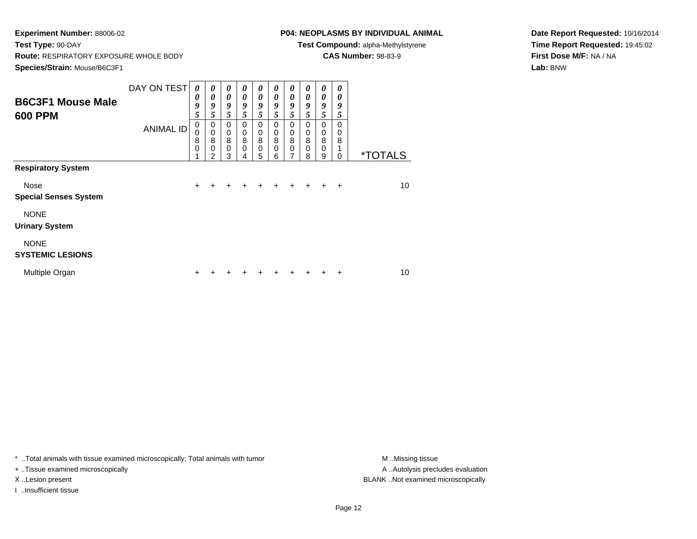# **P04: NEOPLASMS BY INDIVIDUAL ANIMAL**

**Test Compound:** alpha-Methylstyrene

**CAS Number:** 98-83-9

**Date Report Requested:** 10/16/2014**Time Report Requested:** 19:45:02**First Dose M/F:** NA / NA**Lab:** BNW

| <b>B6C3F1 Mouse Male</b><br><b>600 PPM</b> | DAY ON TEST<br><b>ANIMAL ID</b> | 0<br>0<br>9<br>5<br>0<br>0<br>8<br>$\Omega$ | 0<br>0<br>9<br>5<br>0<br>$\mathbf 0$<br>8<br>$\mathbf{0}$ | 0<br>0<br>9<br>5<br>$\Omega$<br>$\mathbf 0$<br>8<br>$\Omega$ | 0<br>0<br>9<br>5<br>$\Omega$<br>0<br>8<br>$\mathbf 0$ | 0<br>0<br>9<br>5<br>$\Omega$<br>0<br>8<br>$\mathbf 0$ | 0<br>0<br>9<br>5<br>0<br>0<br>8<br>$\mathbf 0$ | 0<br>0<br>9<br>5<br>0<br>0<br>8<br>$\mathbf 0$ | 0<br>0<br>9<br>5<br>0<br>0<br>8<br>0 | $\boldsymbol{\theta}$<br>0<br>9<br>5<br>0<br>0<br>8<br>$\mathbf 0$ | 0<br>0<br>9<br>5<br>0<br>0<br>8 |                       |
|--------------------------------------------|---------------------------------|---------------------------------------------|-----------------------------------------------------------|--------------------------------------------------------------|-------------------------------------------------------|-------------------------------------------------------|------------------------------------------------|------------------------------------------------|--------------------------------------|--------------------------------------------------------------------|---------------------------------|-----------------------|
|                                            |                                 |                                             | 2                                                         | 3                                                            |                                                       | 5                                                     | 6                                              | 7                                              | 8                                    | 9                                                                  | 0                               | <i><b>*TOTALS</b></i> |
| <b>Respiratory System</b>                  |                                 |                                             |                                                           |                                                              |                                                       |                                                       |                                                |                                                |                                      |                                                                    |                                 |                       |
| Nose<br><b>Special Senses System</b>       |                                 | $\ddot{}$                                   | ÷                                                         | $\div$                                                       | $\ddot{}$                                             | $\ddot{}$                                             | $\ddot{}$                                      | $\ddot{}$                                      | $+$                                  | $\ddot{}$                                                          | $\ddot{}$                       | 10                    |
| <b>NONE</b><br><b>Urinary System</b>       |                                 |                                             |                                                           |                                                              |                                                       |                                                       |                                                |                                                |                                      |                                                                    |                                 |                       |
| <b>NONE</b><br><b>SYSTEMIC LESIONS</b>     |                                 |                                             |                                                           |                                                              |                                                       |                                                       |                                                |                                                |                                      |                                                                    |                                 |                       |
| Multiple Organ                             |                                 |                                             |                                                           |                                                              |                                                       |                                                       |                                                |                                                |                                      | ┿                                                                  | ٠                               | 10                    |

\* ..Total animals with tissue examined microscopically; Total animals with tumor **M** . Missing tissue M ..Missing tissue

+ ..Tissue examined microscopically

I ..Insufficient tissue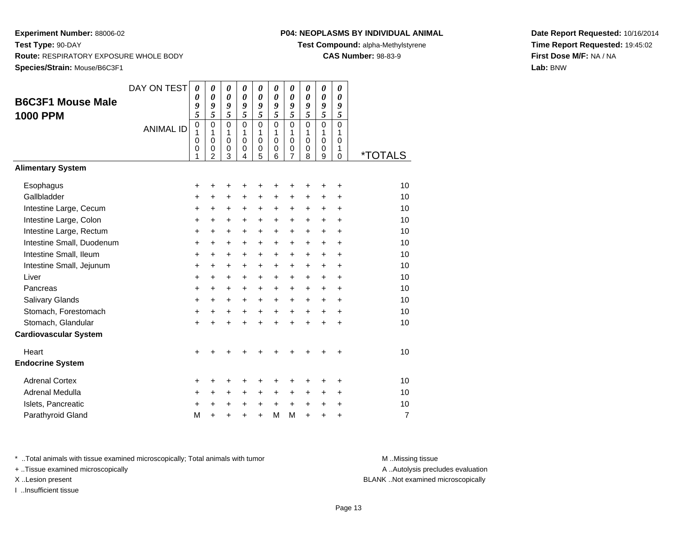# **P04: NEOPLASMS BY INDIVIDUAL ANIMAL**

**Test Compound:** alpha-Methylstyrene

**CAS Number:** 98-83-9

**Date Report Requested:** 10/16/2014**Time Report Requested:** 19:45:02**First Dose M/F:** NA / NA**Lab:** BNW

| <b>B6C3F1 Mouse Male</b><br><b>1000 PPM</b>         | DAY ON TEST<br><b>ANIMAL ID</b> | $\boldsymbol{\theta}$<br>0<br>9<br>5<br>$\mathbf 0$<br>1<br>0<br>0<br>1 | 0<br>$\boldsymbol{\theta}$<br>9<br>5<br>$\Omega$<br>$\mathbf{1}$<br>$\mathbf 0$<br>$\mathbf 0$<br>$\overline{2}$ | 0<br>$\boldsymbol{\theta}$<br>9<br>5<br>$\mathbf{0}$<br>$\mathbf{1}$<br>$\mathbf 0$<br>0<br>3 | 0<br>0<br>9<br>5<br>$\mathbf{0}$<br>1<br>$\mathbf 0$<br>0<br>4 | 0<br>$\boldsymbol{\theta}$<br>9<br>5<br>$\Omega$<br>$\mathbf{1}$<br>$\mathbf 0$<br>0<br>5 | 0<br>$\boldsymbol{\theta}$<br>9<br>5<br>$\Omega$<br>1<br>$\mathbf 0$<br>0<br>6 | 0<br>$\boldsymbol{\theta}$<br>9<br>5<br>$\mathbf 0$<br>1<br>$\mathbf 0$<br>0<br>7 | $\boldsymbol{\theta}$<br>$\boldsymbol{\theta}$<br>9<br>5<br>$\Omega$<br>$\mathbf{1}$<br>$\mathbf 0$<br>0<br>8 | 0<br>$\boldsymbol{\theta}$<br>9<br>5<br>$\mathbf 0$<br>1<br>$\mathbf 0$<br>0<br>9 | 0<br>0<br>9<br>5<br>$\Omega$<br>$\mathbf{1}$<br>$\mathbf 0$<br>$\mathbf{1}$<br>$\Omega$ | <i><b>*TOTALS</b></i> |
|-----------------------------------------------------|---------------------------------|-------------------------------------------------------------------------|------------------------------------------------------------------------------------------------------------------|-----------------------------------------------------------------------------------------------|----------------------------------------------------------------|-------------------------------------------------------------------------------------------|--------------------------------------------------------------------------------|-----------------------------------------------------------------------------------|---------------------------------------------------------------------------------------------------------------|-----------------------------------------------------------------------------------|-----------------------------------------------------------------------------------------|-----------------------|
| <b>Alimentary System</b>                            |                                 |                                                                         |                                                                                                                  |                                                                                               |                                                                |                                                                                           |                                                                                |                                                                                   |                                                                                                               |                                                                                   |                                                                                         |                       |
| Esophagus<br>Gallbladder<br>Intestine Large, Cecum  |                                 | +<br>+<br>+                                                             | +<br>$\ddot{}$<br>$\ddot{}$                                                                                      | +<br>$\ddot{}$<br>$\ddot{}$                                                                   | +<br>$\ddot{}$<br>$\ddot{}$                                    | +<br>$\ddot{}$<br>$\ddot{}$                                                               | +<br>$\ddot{}$<br>$\ddot{}$                                                    | +<br>$\ddot{}$<br>$\ddot{}$                                                       | +<br>$\ddot{}$<br>$\ddot{}$                                                                                   | +<br>$\ddot{}$<br>$\ddot{}$                                                       | +<br>$\ddot{}$<br>$\ddot{}$                                                             | 10<br>10<br>10        |
| Intestine Large, Colon<br>Intestine Large, Rectum   |                                 | +<br>+                                                                  | $\ddot{}$<br>$\ddot{}$                                                                                           | $\ddot{}$<br>$\ddot{}$                                                                        | +<br>+                                                         | $\ddot{}$<br>$\ddot{}$                                                                    | $\ddot{}$<br>$\ddot{}$                                                         | $\ddot{}$<br>$\ddot{}$                                                            | $\ddot{}$<br>$\ddot{}$                                                                                        | $\ddot{}$<br>$\ddot{}$                                                            | $\ddot{}$<br>$\ddot{}$                                                                  | 10<br>10              |
| Intestine Small, Duodenum<br>Intestine Small, Ileum |                                 | $\ddot{}$<br>$\ddot{}$                                                  | $\ddot{}$<br>$\ddot{}$                                                                                           | $\ddot{}$<br>$\ddot{}$                                                                        | $\ddot{}$<br>+                                                 | $\ddot{}$<br>$\ddot{}$                                                                    | $\ddot{}$<br>$\ddot{}$                                                         | $\ddot{}$<br>$\ddot{}$                                                            | $\ddot{}$<br>$\ddot{}$                                                                                        | $\ddot{}$<br>$\ddot{}$                                                            | $\ddot{}$<br>$\ddot{}$                                                                  | 10<br>10              |
| Intestine Small, Jejunum                            |                                 | +                                                                       | +                                                                                                                | +                                                                                             | +                                                              | +                                                                                         | +                                                                              | +                                                                                 | +                                                                                                             | +                                                                                 | +                                                                                       | 10                    |
| Liver<br>Pancreas                                   |                                 | +<br>+                                                                  | $\ddot{}$<br>$\ddot{}$                                                                                           | +<br>+                                                                                        | +<br>+                                                         | +<br>+                                                                                    | +<br>+                                                                         | +<br>+                                                                            | +<br>+                                                                                                        | $\ddot{}$<br>$\ddot{}$                                                            | $\ddot{}$<br>+                                                                          | 10<br>10              |
| Salivary Glands<br>Stomach, Forestomach             |                                 | $\ddot{}$<br>$\ddot{}$                                                  | $\ddot{}$<br>+                                                                                                   | $\ddot{}$<br>+                                                                                | $\ddot{}$<br>$\ddot{}$                                         | $\ddot{}$<br>$\ddot{}$                                                                    | $\ddot{}$<br>$\ddot{}$                                                         | $\ddot{}$<br>$\ddot{}$                                                            | $\ddot{}$<br>$\ddot{}$                                                                                        | $+$<br>$\ddot{}$                                                                  | $\ddot{}$<br>+                                                                          | 10<br>10              |
| Stomach, Glandular<br><b>Cardiovascular System</b>  |                                 | $\ddot{}$                                                               |                                                                                                                  | $\ddot{}$                                                                                     | $\ddot{}$                                                      | $\ddot{}$                                                                                 | $\ddot{}$                                                                      | $\ddot{}$                                                                         |                                                                                                               | $\ddot{}$                                                                         | $\ddot{}$                                                                               | 10                    |
| Heart<br><b>Endocrine System</b>                    |                                 | +                                                                       |                                                                                                                  |                                                                                               |                                                                |                                                                                           |                                                                                |                                                                                   |                                                                                                               |                                                                                   | +                                                                                       | 10                    |
| <b>Adrenal Cortex</b>                               |                                 | +                                                                       | +                                                                                                                | +                                                                                             | +                                                              | +                                                                                         | +                                                                              | +                                                                                 | +                                                                                                             | +                                                                                 | +                                                                                       | 10                    |
| Adrenal Medulla<br>Islets, Pancreatic               |                                 | +<br>+                                                                  | $\ddot{}$<br>+                                                                                                   | +<br>+                                                                                        | $\ddot{}$<br>+                                                 | +<br>+                                                                                    | +<br>$\ddot{}$                                                                 | $\ddot{}$<br>$\ddot{}$                                                            | $\ddot{}$<br>$\ddot{}$                                                                                        | +<br>+                                                                            | $\ddot{}$<br>+                                                                          | 10<br>10              |
| Parathyroid Gland                                   |                                 | M                                                                       | $\ddot{}$                                                                                                        |                                                                                               | $\ddot{}$                                                      | $\ddot{}$                                                                                 | M                                                                              | M                                                                                 | $\ddot{}$                                                                                                     | ÷                                                                                 | $\ddot{}$                                                                               | $\overline{7}$        |

\* ..Total animals with tissue examined microscopically; Total animals with tumor **M** . Missing tissue M ..Missing tissue

+ ..Tissue examined microscopically

I ..Insufficient tissue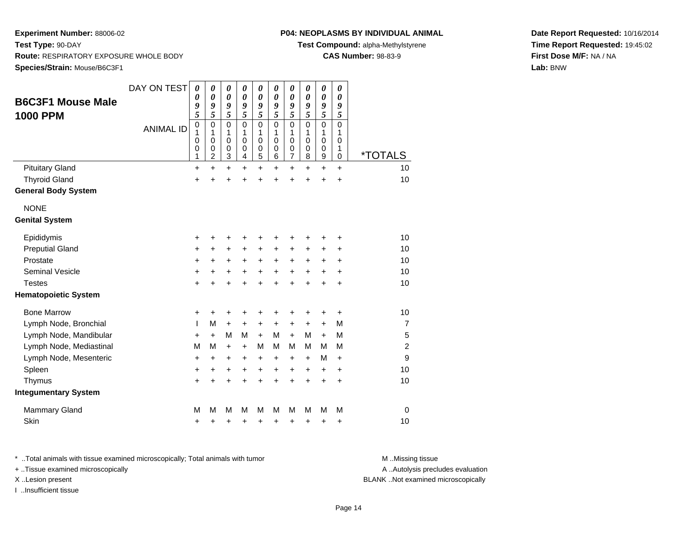# **P04: NEOPLASMS BY INDIVIDUAL ANIMAL**

**Test Compound:** alpha-Methylstyrene

**CAS Number:** 98-83-9

**Date Report Requested:** 10/16/2014**Time Report Requested:** 19:45:02**First Dose M/F:** NA / NA**Lab:** BNW

| <b>B6C3F1 Mouse Male</b><br><b>1000 PPM</b> | DAY ON TEST<br><b>ANIMAL ID</b> | $\boldsymbol{\theta}$<br>0<br>9<br>5<br>0<br>1<br>0<br>0<br>1 | 0<br>$\boldsymbol{\theta}$<br>9<br>5<br>$\mathbf 0$<br>1<br>$\mathbf 0$<br>$\mathbf 0$<br>$\overline{c}$ | 0<br>$\boldsymbol{\theta}$<br>9<br>5<br>$\mathbf 0$<br>1<br>0<br>$\mathbf 0$<br>3 | 0<br>$\pmb{\theta}$<br>9<br>5<br>$\mathbf 0$<br>1<br>$\mathbf 0$<br>$\mathbf 0$<br>4 | 0<br>$\boldsymbol{\theta}$<br>9<br>5<br>$\mathbf 0$<br>1<br>0<br>$\boldsymbol{0}$<br>5 | 0<br>$\boldsymbol{\theta}$<br>9<br>5<br>$\mathbf 0$<br>1<br>0<br>0<br>6 | 0<br>$\boldsymbol{\theta}$<br>9<br>5<br>0<br>1<br>0<br>0<br>$\overline{7}$ | 0<br>$\boldsymbol{\theta}$<br>9<br>5<br>$\Omega$<br>1<br>$\mathbf 0$<br>0<br>8 | 0<br>$\boldsymbol{\theta}$<br>9<br>5<br>$\mathbf 0$<br>1<br>0<br>$\boldsymbol{0}$<br>9 | 0<br>$\boldsymbol{\theta}$<br>9<br>5<br>$\mathbf 0$<br>1<br>0<br>1<br>$\mathbf 0$ | <i><b>*TOTALS</b></i> |
|---------------------------------------------|---------------------------------|---------------------------------------------------------------|----------------------------------------------------------------------------------------------------------|-----------------------------------------------------------------------------------|--------------------------------------------------------------------------------------|----------------------------------------------------------------------------------------|-------------------------------------------------------------------------|----------------------------------------------------------------------------|--------------------------------------------------------------------------------|----------------------------------------------------------------------------------------|-----------------------------------------------------------------------------------|-----------------------|
| <b>Pituitary Gland</b>                      |                                 | +                                                             | +                                                                                                        | $\ddot{}$                                                                         | +                                                                                    | $\ddot{}$                                                                              | $\ddot{}$                                                               | $\ddot{}$                                                                  | $\ddot{}$                                                                      | $\ddot{}$                                                                              | $\ddot{}$                                                                         | 10                    |
| <b>Thyroid Gland</b>                        |                                 | $\ddot{}$                                                     |                                                                                                          | $\ddot{}$                                                                         |                                                                                      | Ŧ.                                                                                     | 4                                                                       | $\ddot{}$                                                                  | $\ddot{}$                                                                      | $\ddot{}$                                                                              | $\ddot{}$                                                                         | 10                    |
| <b>General Body System</b>                  |                                 |                                                               |                                                                                                          |                                                                                   |                                                                                      |                                                                                        |                                                                         |                                                                            |                                                                                |                                                                                        |                                                                                   |                       |
| <b>NONE</b>                                 |                                 |                                                               |                                                                                                          |                                                                                   |                                                                                      |                                                                                        |                                                                         |                                                                            |                                                                                |                                                                                        |                                                                                   |                       |
| <b>Genital System</b>                       |                                 |                                                               |                                                                                                          |                                                                                   |                                                                                      |                                                                                        |                                                                         |                                                                            |                                                                                |                                                                                        |                                                                                   |                       |
| Epididymis                                  |                                 | +                                                             |                                                                                                          | +                                                                                 |                                                                                      | +                                                                                      | +                                                                       | +                                                                          | +                                                                              | +                                                                                      | +                                                                                 | 10                    |
| <b>Preputial Gland</b>                      |                                 | +                                                             | +                                                                                                        | +                                                                                 | +                                                                                    | +                                                                                      | +                                                                       | +                                                                          | +                                                                              | +                                                                                      | +                                                                                 | 10                    |
| Prostate                                    |                                 | $\ddot{}$                                                     | $\ddot{}$                                                                                                | $\ddot{}$                                                                         | $\ddot{}$                                                                            | $\ddot{}$                                                                              | $\ddot{}$                                                               | +                                                                          | $\ddot{}$                                                                      | +                                                                                      | $\ddot{}$                                                                         | 10                    |
| <b>Seminal Vesicle</b>                      |                                 | +                                                             | +                                                                                                        | +                                                                                 | +                                                                                    | +                                                                                      | +                                                                       | +                                                                          | +                                                                              | +                                                                                      | +                                                                                 | 10                    |
| <b>Testes</b>                               |                                 | $\ddot{}$                                                     |                                                                                                          | $\ddot{}$                                                                         |                                                                                      | $\ddot{}$                                                                              | ÷                                                                       | $\ddot{}$                                                                  | ÷                                                                              | $\ddot{}$                                                                              | $\ddot{}$                                                                         | 10                    |
| <b>Hematopoietic System</b>                 |                                 |                                                               |                                                                                                          |                                                                                   |                                                                                      |                                                                                        |                                                                         |                                                                            |                                                                                |                                                                                        |                                                                                   |                       |
| <b>Bone Marrow</b>                          |                                 | +                                                             | +                                                                                                        | +                                                                                 | +                                                                                    | +                                                                                      | +                                                                       | +                                                                          | +                                                                              | +                                                                                      | +                                                                                 | 10                    |
| Lymph Node, Bronchial                       |                                 | T                                                             | M                                                                                                        | $\ddot{}$                                                                         | $\ddot{}$                                                                            | +                                                                                      | $\ddot{}$                                                               | +                                                                          | +                                                                              | +                                                                                      | M                                                                                 | $\overline{7}$        |
| Lymph Node, Mandibular                      |                                 | $\ddot{}$                                                     | $+$                                                                                                      | M                                                                                 | M                                                                                    | $\ddot{}$                                                                              | м                                                                       | $\ddot{}$                                                                  | М                                                                              | $\ddot{}$                                                                              | M                                                                                 | 5                     |
| Lymph Node, Mediastinal                     |                                 | M                                                             | M                                                                                                        | $\ddot{}$                                                                         | $\ddot{}$                                                                            | M                                                                                      | м                                                                       | M                                                                          | М                                                                              | M                                                                                      | M                                                                                 | $\overline{2}$        |
| Lymph Node, Mesenteric                      |                                 | $\ddot{}$                                                     | $\ddot{}$                                                                                                | $\ddot{}$                                                                         | $\ddot{}$                                                                            | $\ddot{}$                                                                              | $\ddot{}$                                                               | $\ddot{}$                                                                  | $\ddot{}$                                                                      | M                                                                                      | $\ddot{}$                                                                         | 9                     |
| Spleen                                      |                                 | +                                                             | +                                                                                                        | +                                                                                 | +                                                                                    | $\ddot{}$                                                                              | +                                                                       | $\ddot{}$                                                                  | $\ddot{}$                                                                      | +                                                                                      | $\ddot{}$                                                                         | 10                    |
| Thymus                                      |                                 | $\ddot{}$                                                     |                                                                                                          | $\ddot{}$                                                                         | $\ddot{}$                                                                            | $\ddot{}$                                                                              | $\ddot{}$                                                               | $\ddot{}$                                                                  | $\ddot{}$                                                                      | $\ddot{}$                                                                              | $\ddot{}$                                                                         | 10                    |
| <b>Integumentary System</b>                 |                                 |                                                               |                                                                                                          |                                                                                   |                                                                                      |                                                                                        |                                                                         |                                                                            |                                                                                |                                                                                        |                                                                                   |                       |
| <b>Mammary Gland</b>                        |                                 | M                                                             | М                                                                                                        | M                                                                                 | М                                                                                    | M                                                                                      | М                                                                       | M                                                                          | M                                                                              | M                                                                                      | M                                                                                 | $\mathbf 0$           |
| Skin                                        |                                 | +                                                             | +                                                                                                        | +                                                                                 | +                                                                                    | +                                                                                      | +                                                                       | +                                                                          | +                                                                              | +                                                                                      | +                                                                                 | 10                    |

\* ..Total animals with tissue examined microscopically; Total animals with tumor **M** . Missing tissue M ..Missing tissue

+ ..Tissue examined microscopically

I ..Insufficient tissue

A ..Autolysis precludes evaluation

X ..Lesion present BLANK ..Not examined microscopically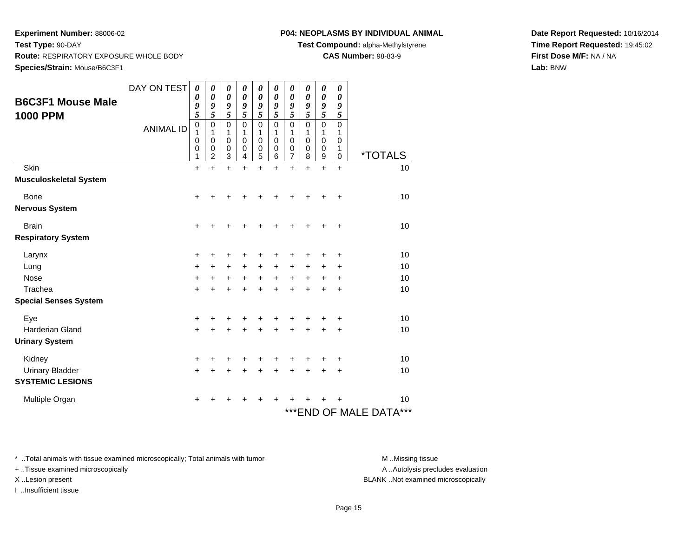**Experiment Number:** 88006-02**Test Type:** 90-DAY**Route:** RESPIRATORY EXPOSURE WHOLE BODY

**Species/Strain:** Mouse/B6C3F1

|  |  | P04: NEOPLASMS BY INDIVIDUAL ANIMAL |  |
|--|--|-------------------------------------|--|
|--|--|-------------------------------------|--|

**Test Compound:** alpha-Methylstyrene

**CAS Number:** 98-83-9

**Date Report Requested:** 10/16/2014**Time Report Requested:** 19:45:02**First Dose M/F:** NA / NA**Lab:** BNW

| <b>B6C3F1 Mouse Male</b>                                    | DAY ON TEST      | 0<br>0<br>9                               | 0<br>0<br>9                          | 0<br>0<br>9                                    | 0<br>0<br>9                                    | 0<br>0<br>9                      | 0<br>0<br>9                                              | 0<br>0<br>9                          | 0<br>0<br>9                          | 0<br>0<br>9                | 0<br>$\boldsymbol{\theta}$<br>9 |                                   |
|-------------------------------------------------------------|------------------|-------------------------------------------|--------------------------------------|------------------------------------------------|------------------------------------------------|----------------------------------|----------------------------------------------------------|--------------------------------------|--------------------------------------|----------------------------|---------------------------------|-----------------------------------|
| <b>1000 PPM</b>                                             | <b>ANIMAL ID</b> | 5<br>$\boldsymbol{0}$<br>1<br>0<br>0<br>1 | 5<br>0<br>1<br>$\mathbf 0$<br>0<br>2 | 5<br>$\mathbf 0$<br>1<br>$\mathbf 0$<br>0<br>3 | 5<br>$\mathbf 0$<br>1<br>$\mathbf 0$<br>0<br>4 | 5<br>0<br>1<br>0<br>0<br>5       | 5<br>$\mathbf 0$<br>1<br>$\mathbf 0$<br>$\mathbf 0$<br>6 | 5<br>$\mathbf 0$<br>1<br>0<br>0<br>7 | 5<br>0<br>1<br>0<br>$\mathbf 0$<br>8 | 5<br>0<br>1<br>0<br>0<br>9 | 5<br>0<br>1<br>0<br>1<br>0      | <i><b>*TOTALS</b></i>             |
| Skin<br><b>Musculoskeletal System</b>                       |                  | $\ddot{}$                                 | $\ddot{}$                            | $\ddot{}$                                      | $\ddot{}$                                      | $\ddot{}$                        | $\ddot{}$                                                | $\ddot{}$                            | $\ddot{}$                            | $\ddot{}$                  | $\ddot{}$                       | 10                                |
| <b>Bone</b><br><b>Nervous System</b>                        |                  | +                                         | +                                    |                                                |                                                |                                  | +                                                        | +                                    | +                                    | +                          | +                               | 10                                |
| <b>Brain</b><br><b>Respiratory System</b>                   |                  | +                                         |                                      |                                                |                                                |                                  | +                                                        | +                                    | +                                    | +                          | ٠                               | 10                                |
| Larynx<br>Lung<br>Nose<br>Trachea                           |                  | +<br>$\ddot{}$<br>$\ddot{}$<br>$\ddot{}$  | ٠<br>$\ddot{}$<br>+<br>+             | $\ddot{}$<br>+<br>$\ddot{}$                    | $\ddot{}$<br>$\ddot{}$<br>÷                    | ٠<br>+<br>$\ddot{}$<br>$\ddot{}$ | +<br>$\ddot{}$<br>+<br>$\ddot{}$                         | +<br>$\ddot{}$<br>+<br>$\ddot{}$     | +<br>+<br>+<br>$\ddot{}$             | +<br>+<br>+<br>+           | +<br>+<br>+<br>+                | 10<br>10<br>10<br>10              |
| <b>Special Senses System</b>                                |                  |                                           |                                      |                                                |                                                |                                  |                                                          |                                      |                                      |                            |                                 |                                   |
| Eye<br><b>Harderian Gland</b><br><b>Urinary System</b>      |                  | +<br>$\ddot{}$                            | ٠                                    |                                                |                                                | ٠                                | +<br>+                                                   | +<br>+                               | +                                    | +                          | +<br>٠                          | 10<br>10                          |
| Kidney<br><b>Urinary Bladder</b><br><b>SYSTEMIC LESIONS</b> |                  | +<br>$\ddot{}$                            |                                      |                                                |                                                | $\ddot{}$                        | +<br>÷                                                   | +<br>$\ddot{}$                       | ٠                                    | +<br>$\ddot{}$             | +<br>+                          | 10<br>10                          |
| Multiple Organ                                              |                  | +                                         |                                      |                                                |                                                |                                  |                                                          |                                      |                                      |                            |                                 | 10<br>*** END OF MALE DATA<br>*** |

\* ..Total animals with tissue examined microscopically; Total animals with tumor **M** . Missing tissue M ..Missing tissue

+ ..Tissue examined microscopically

I ..Insufficient tissue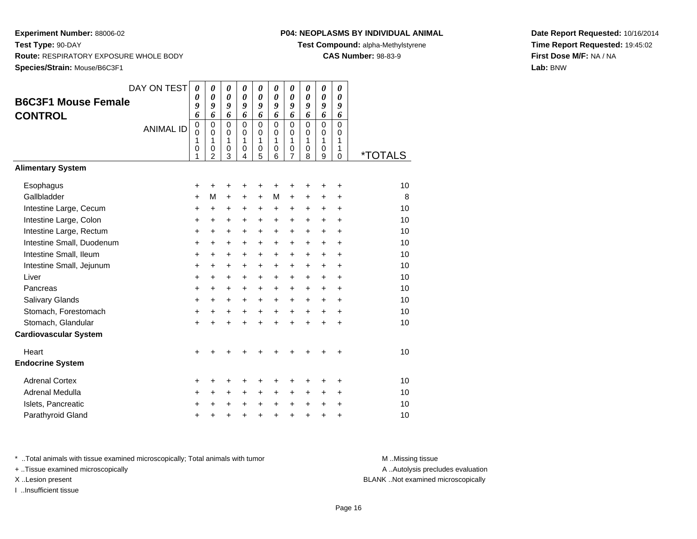# **P04: NEOPLASMS BY INDIVIDUAL ANIMAL**

**Test Compound:** alpha-Methylstyrene

**CAS Number:** 98-83-9

**Date Report Requested:** 10/16/2014**Time Report Requested:** 19:45:02**First Dose M/F:** NA / NA**Lab:** BNW

|                              | DAY ON TEST      | $\boldsymbol{\theta}$ | 0              | 0           | 0           | $\boldsymbol{\theta}$     | $\boldsymbol{\theta}$ | 0                     | 0           | 0           | 0                 |                       |
|------------------------------|------------------|-----------------------|----------------|-------------|-------------|---------------------------|-----------------------|-----------------------|-------------|-------------|-------------------|-----------------------|
| <b>B6C3F1 Mouse Female</b>   |                  | 0                     | 0              | 0           | 0           | $\boldsymbol{\theta}$     | $\boldsymbol{\theta}$ | $\boldsymbol{\theta}$ | 0           | 0           | 0                 |                       |
| <b>CONTROL</b>               |                  | 9<br>6                | 9<br>6         | 9<br>6      | 9<br>6      | 9<br>6                    | 9<br>6                | 9<br>6                | 9<br>6      | 9<br>6      | 9<br>6            |                       |
|                              |                  | $\mathbf 0$           | $\mathbf 0$    | $\mathbf 0$ | $\Omega$    | $\mathbf 0$               | $\Omega$              | $\mathbf 0$           | $\mathbf 0$ | $\mathbf 0$ | $\Omega$          |                       |
|                              | <b>ANIMAL ID</b> | $\mathbf 0$           | $\mathbf 0$    | $\mathbf 0$ | $\mathbf 0$ | $\mathbf 0$               | 0                     | $\mathbf 0$           | $\mathbf 0$ | $\mathbf 0$ | $\Omega$          |                       |
|                              |                  | 1<br>0                | 1<br>0         | 1<br>0      | 1<br>0      | $\mathbf{1}$<br>$\pmb{0}$ | 1<br>0                | 1<br>$\mathbf 0$      | 1<br>0      | 1<br>0      | $\mathbf{1}$<br>1 |                       |
|                              |                  | 1                     | $\overline{2}$ | 3           | 4           | 5                         | 6                     | $\overline{7}$        | 8           | 9           | $\Omega$          | <i><b>*TOTALS</b></i> |
| <b>Alimentary System</b>     |                  |                       |                |             |             |                           |                       |                       |             |             |                   |                       |
| Esophagus                    |                  | +                     | +              | +           | +           | +                         | +                     | +                     | +           | +           | +                 | 10                    |
| Gallbladder                  |                  | +                     | M              | $\ddot{}$   | +           | $\ddot{}$                 | M                     | $\ddot{}$             | +           | +           | +                 | 8                     |
| Intestine Large, Cecum       |                  | +                     | $\ddot{}$      | +           | +           | $\ddot{}$                 | $\ddot{}$             | $\ddot{}$             | $\pm$       | $\ddot{}$   | $\ddot{}$         | 10                    |
| Intestine Large, Colon       |                  | +                     | $\pm$          | +           | +           | $\ddot{}$                 | +                     | +                     | +           | $\ddot{}$   | $\ddot{}$         | 10                    |
| Intestine Large, Rectum      |                  | +                     | +              | +           | $\ddot{}$   | $\ddot{}$                 | $\ddot{}$             | $\ddot{}$             | $\ddot{}$   | $\ddot{}$   | $\ddot{}$         | 10                    |
| Intestine Small, Duodenum    |                  | $\ddot{}$             | $\ddot{}$      | $\ddot{}$   | $\ddot{}$   | $\ddot{}$                 | $+$                   | $\ddot{}$             | $\ddot{}$   | $\ddot{}$   | $\ddot{}$         | 10                    |
| Intestine Small, Ileum       |                  | +                     | $\ddot{}$      | +           | +           | +                         | $\ddot{}$             | $\ddot{}$             | +           | $\ddot{}$   | $\ddot{}$         | 10                    |
| Intestine Small, Jejunum     |                  | +                     | +              | +           | +           | +                         | +                     | +                     | +           | +           | +                 | 10                    |
| Liver                        |                  | $\ddot{}$             | $\ddot{}$      | $\ddot{}$   | $\ddot{}$   | $\ddot{}$                 | $+$                   | $\ddot{}$             | $\ddot{}$   | $\ddot{}$   | $\ddot{}$         | 10                    |
| Pancreas                     |                  | +                     | $\ddot{}$      | $\ddot{}$   | $\ddot{}$   | $\ddot{}$                 | $+$                   | $\ddot{}$             | $\ddot{}$   | +           | +                 | 10                    |
| Salivary Glands              |                  | +                     | $\ddot{}$      | $\ddot{}$   | $\ddot{}$   | $\ddot{}$                 | $\ddot{}$             | $\ddot{}$             | $\ddot{}$   | $\ddot{}$   | $\ddot{}$         | 10                    |
| Stomach, Forestomach         |                  | +                     | +              | +           | +           | $\ddot{}$                 | $\ddot{}$             | $\ddot{}$             | $\ddot{}$   | $\ddot{}$   | $\ddot{}$         | 10                    |
| Stomach, Glandular           |                  | $\ddot{}$             | $\ddot{}$      | $\ddot{}$   | $\ddot{}$   | $\ddot{}$                 |                       | ÷                     | $\ddot{}$   | $\ddot{}$   | $\ddot{}$         | 10                    |
| <b>Cardiovascular System</b> |                  |                       |                |             |             |                           |                       |                       |             |             |                   |                       |
| Heart                        |                  | $\ddot{}$             |                |             |             |                           |                       |                       |             | +           | +                 | 10                    |
| <b>Endocrine System</b>      |                  |                       |                |             |             |                           |                       |                       |             |             |                   |                       |
| <b>Adrenal Cortex</b>        |                  | +                     | +              | +           | +           | +                         |                       | +                     | +           | +           | +                 | 10                    |
| Adrenal Medulla              |                  | ٠                     | +              | +           | +           | $\ddot{}$                 | $\ddot{}$             | +                     | +           | +           | +                 | 10                    |
| Islets, Pancreatic           |                  | +                     | $\ddot{}$      | +           | $\ddot{}$   | $\ddot{}$                 | $\ddot{}$             | $\ddot{}$             | $\ddot{}$   | $\ddot{}$   | $\ddot{}$         | 10                    |
| Parathyroid Gland            |                  | +                     | +              | +           | $\ddot{}$   | $\ddot{}$                 | $\ddot{}$             | $\ddot{}$             | $\ddot{}$   | $\ddot{}$   | +                 | 10                    |

\* ..Total animals with tissue examined microscopically; Total animals with tumor **M** . Missing tissue M ..Missing tissue

+ ..Tissue examined microscopically

I ..Insufficient tissue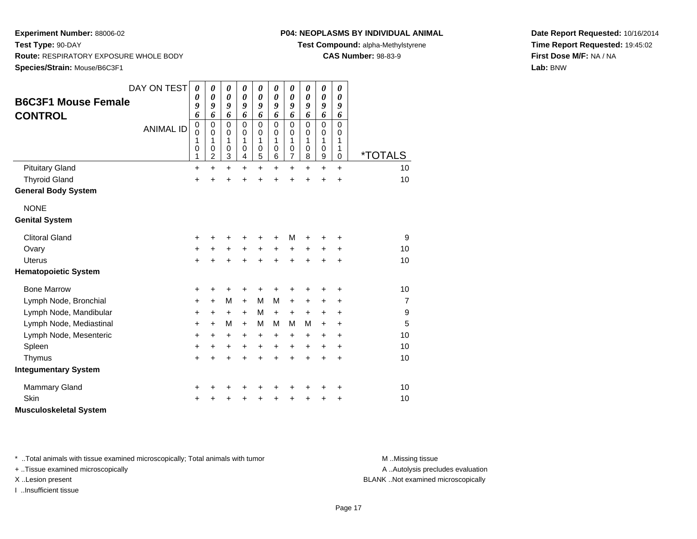# **P04: NEOPLASMS BY INDIVIDUAL ANIMAL**

**Test Compound:** alpha-Methylstyrene

**CAS Number:** 98-83-9

**Date Report Requested:** 10/16/2014**Time Report Requested:** 19:45:02**First Dose M/F:** NA / NA**Lab:** BNW

| <b>B6C3F1 Mouse Female</b><br><b>CONTROL</b><br><b>Pituitary Gland</b> | DAY ON TEST<br><b>ANIMAL ID</b> | 0<br>0<br>9<br>6<br>$\mathbf 0$<br>$\mathbf 0$<br>1<br>0<br>1<br>+ | 0<br>$\boldsymbol{\theta}$<br>9<br>6<br>$\mathbf 0$<br>$\mathbf 0$<br>1<br>$\pmb{0}$<br>$\boldsymbol{2}$<br>$\ddot{}$ | 0<br>$\boldsymbol{\theta}$<br>9<br>6<br>$\mathbf 0$<br>$\Omega$<br>1<br>$\pmb{0}$<br>3<br>$\ddot{}$ | 0<br>$\boldsymbol{\theta}$<br>9<br>6<br>$\mathbf 0$<br>$\Omega$<br>1<br>$\pmb{0}$<br>4<br>$\ddot{}$ | 0<br>$\boldsymbol{\theta}$<br>9<br>6<br>$\mathbf 0$<br>$\mathbf 0$<br>1<br>$\mathbf 0$<br>5<br>$\ddot{}$ | 0<br>$\boldsymbol{\theta}$<br>9<br>6<br>$\mathbf 0$<br>$\Omega$<br>1<br>$\pmb{0}$<br>6<br>$\ddot{}$ | 0<br>$\boldsymbol{\theta}$<br>9<br>6<br>$\mathbf 0$<br>$\mathbf 0$<br>1<br>$\mathbf 0$<br>$\overline{\mathbf{7}}$<br>$\ddot{}$ | 0<br>$\boldsymbol{\theta}$<br>9<br>6<br>$\mathbf 0$<br>$\Omega$<br>1<br>$\mathbf 0$<br>8<br>$\ddot{}$ | 0<br>$\pmb{\theta}$<br>9<br>6<br>$\mathbf 0$<br>$\mathbf 0$<br>1<br>$\mathbf 0$<br>$\boldsymbol{9}$<br>$\ddot{}$ | 0<br>$\boldsymbol{\theta}$<br>9<br>6<br>$\mathbf 0$<br>$\Omega$<br>1<br>1<br>$\mathbf 0$<br>$\ddot{}$ | *TOTALS<br>10    |
|------------------------------------------------------------------------|---------------------------------|--------------------------------------------------------------------|-----------------------------------------------------------------------------------------------------------------------|-----------------------------------------------------------------------------------------------------|-----------------------------------------------------------------------------------------------------|----------------------------------------------------------------------------------------------------------|-----------------------------------------------------------------------------------------------------|--------------------------------------------------------------------------------------------------------------------------------|-------------------------------------------------------------------------------------------------------|------------------------------------------------------------------------------------------------------------------|-------------------------------------------------------------------------------------------------------|------------------|
| <b>Thyroid Gland</b><br><b>General Body System</b>                     |                                 | +                                                                  | +                                                                                                                     | +                                                                                                   | +                                                                                                   | $\ddot{}$                                                                                                |                                                                                                     | $\ddot{}$                                                                                                                      | ÷                                                                                                     | $\ddot{}$                                                                                                        | $\ddot{}$                                                                                             | 10               |
| <b>NONE</b><br><b>Genital System</b>                                   |                                 |                                                                    |                                                                                                                       |                                                                                                     |                                                                                                     |                                                                                                          |                                                                                                     |                                                                                                                                |                                                                                                       |                                                                                                                  |                                                                                                       |                  |
| <b>Clitoral Gland</b>                                                  |                                 | +                                                                  |                                                                                                                       | +                                                                                                   |                                                                                                     | +                                                                                                        |                                                                                                     | M                                                                                                                              |                                                                                                       |                                                                                                                  | ٠                                                                                                     | 9                |
| Ovary                                                                  |                                 | +                                                                  | +                                                                                                                     | +                                                                                                   | $\ddot{}$                                                                                           | $\ddot{}$                                                                                                | $\ddot{}$                                                                                           | $\ddot{}$                                                                                                                      | $\ddot{}$                                                                                             | +                                                                                                                | +                                                                                                     | 10               |
| <b>Uterus</b>                                                          |                                 | $\ddot{}$                                                          |                                                                                                                       | $\ddot{}$                                                                                           | $\ddot{}$                                                                                           | $\ddot{}$                                                                                                |                                                                                                     | $\ddot{}$                                                                                                                      |                                                                                                       | ÷                                                                                                                | $\ddot{}$                                                                                             | 10               |
| <b>Hematopoietic System</b>                                            |                                 |                                                                    |                                                                                                                       |                                                                                                     |                                                                                                     |                                                                                                          |                                                                                                     |                                                                                                                                |                                                                                                       |                                                                                                                  |                                                                                                       |                  |
| <b>Bone Marrow</b>                                                     |                                 | +                                                                  | +                                                                                                                     | +                                                                                                   | +                                                                                                   | +                                                                                                        | +                                                                                                   | +                                                                                                                              | +                                                                                                     | +                                                                                                                | +                                                                                                     | 10               |
| Lymph Node, Bronchial                                                  |                                 | +                                                                  | $+$                                                                                                                   | M                                                                                                   | $\ddot{}$                                                                                           | M                                                                                                        | M                                                                                                   | $\ddot{}$                                                                                                                      | +                                                                                                     | +                                                                                                                | $\ddot{}$                                                                                             | $\overline{7}$   |
| Lymph Node, Mandibular                                                 |                                 | +                                                                  | $\ddot{}$                                                                                                             | $\ddot{}$                                                                                           | $\ddot{}$                                                                                           | M                                                                                                        | $\ddot{}$                                                                                           | $\ddot{}$                                                                                                                      | $\ddot{}$                                                                                             | $\ddot{}$                                                                                                        | +                                                                                                     | $\boldsymbol{9}$ |
| Lymph Node, Mediastinal                                                |                                 | $\ddot{}$                                                          | $+$                                                                                                                   | M                                                                                                   | $\ddot{}$                                                                                           | M                                                                                                        | м                                                                                                   | M                                                                                                                              | M                                                                                                     | $\ddot{}$                                                                                                        | $\ddot{}$                                                                                             | 5                |
| Lymph Node, Mesenteric                                                 |                                 | +                                                                  | $\ddot{}$                                                                                                             | $\ddot{}$                                                                                           | $\ddot{}$                                                                                           | $\ddot{}$                                                                                                | $\ddot{}$                                                                                           | $\ddot{}$                                                                                                                      | +                                                                                                     | +                                                                                                                | +                                                                                                     | 10               |
| Spleen                                                                 |                                 | +                                                                  | +                                                                                                                     | $\ddot{}$                                                                                           | $\ddot{}$                                                                                           | $\ddot{}$                                                                                                | $\ddot{}$                                                                                           | $\ddot{}$                                                                                                                      | $\ddot{}$                                                                                             | $\ddot{}$                                                                                                        | $\ddot{}$                                                                                             | 10               |
| Thymus                                                                 |                                 | $\ddot{}$                                                          | $\ddot{}$                                                                                                             | $\ddot{}$                                                                                           | $\ddot{}$                                                                                           | $\ddot{}$                                                                                                | $\ddot{}$                                                                                           | $\ddot{}$                                                                                                                      | $\ddot{}$                                                                                             | $\ddot{}$                                                                                                        | $\ddot{}$                                                                                             | 10               |
| <b>Integumentary System</b>                                            |                                 |                                                                    |                                                                                                                       |                                                                                                     |                                                                                                     |                                                                                                          |                                                                                                     |                                                                                                                                |                                                                                                       |                                                                                                                  |                                                                                                       |                  |
| <b>Mammary Gland</b>                                                   |                                 | +                                                                  |                                                                                                                       | +                                                                                                   | +                                                                                                   | +                                                                                                        |                                                                                                     | +                                                                                                                              | ٠                                                                                                     | +                                                                                                                | +                                                                                                     | 10               |
| Skin                                                                   |                                 | +                                                                  |                                                                                                                       |                                                                                                     |                                                                                                     |                                                                                                          |                                                                                                     |                                                                                                                                |                                                                                                       |                                                                                                                  | +                                                                                                     | 10               |
| <b>Musculoskeletal System</b>                                          |                                 |                                                                    |                                                                                                                       |                                                                                                     |                                                                                                     |                                                                                                          |                                                                                                     |                                                                                                                                |                                                                                                       |                                                                                                                  |                                                                                                       |                  |

\* ..Total animals with tissue examined microscopically; Total animals with tumor **M** . Missing tissue M ..Missing tissue

+ ..Tissue examined microscopically

I ..Insufficient tissue

A ..Autolysis precludes evaluation

X ..Lesion present BLANK ..Not examined microscopically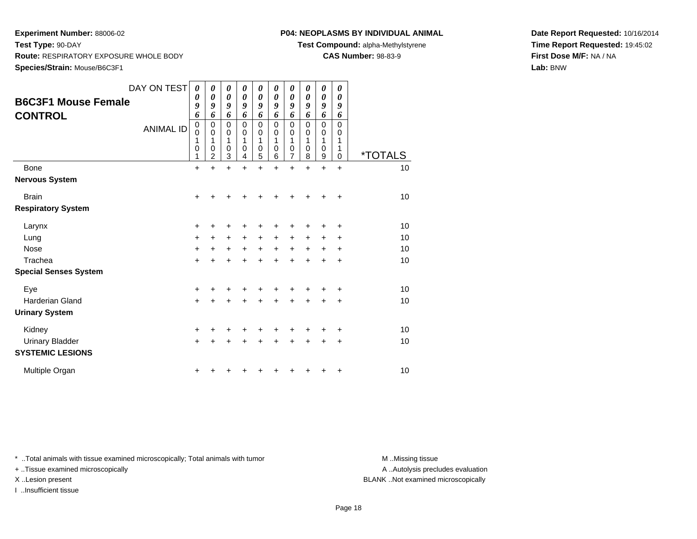# **P04: NEOPLASMS BY INDIVIDUAL ANIMAL**

**Test Compound:** alpha-Methylstyrene

**CAS Number:** 98-83-9

**Date Report Requested:** 10/16/2014**Time Report Requested:** 19:45:02**First Dose M/F:** NA / NA**Lab:** BNW

| <b>B6C3F1 Mouse Female</b><br><b>CONTROL</b> | DAY ON TEST<br><b>ANIMAL ID</b> | 0<br>0<br>9<br>6<br>$\mathbf 0$<br>$\mathbf 0$<br>1<br>$\mathbf 0$<br>1 | 0<br>0<br>9<br>6<br>0<br>$\mathbf 0$<br>1<br>0<br>$\overline{2}$ | 0<br>0<br>9<br>6<br>0<br>$\pmb{0}$<br>1<br>0<br>3 | 0<br>$\boldsymbol{\theta}$<br>9<br>6<br>$\mathbf 0$<br>0<br>1<br>0<br>4 | $\boldsymbol{\theta}$<br>$\boldsymbol{\theta}$<br>9<br>6<br>$\mathbf 0$<br>$\mathbf 0$<br>1<br>0<br>5 | 0<br>0<br>9<br>6<br>0<br>0<br>1<br>0<br>6 | 0<br>$\pmb{\theta}$<br>9<br>6<br>0<br>0<br>1<br>0<br>$\overline{7}$ | 0<br>0<br>9<br>6<br>$\mathbf 0$<br>0<br>1<br>0<br>8 | 0<br>$\boldsymbol{\theta}$<br>9<br>6<br>0<br>0<br>1<br>0<br>9 | 0<br>$\boldsymbol{\theta}$<br>9<br>6<br>$\mathbf 0$<br>0<br>1<br>1<br>0 | <i><b>*TOTALS</b></i> |
|----------------------------------------------|---------------------------------|-------------------------------------------------------------------------|------------------------------------------------------------------|---------------------------------------------------|-------------------------------------------------------------------------|-------------------------------------------------------------------------------------------------------|-------------------------------------------|---------------------------------------------------------------------|-----------------------------------------------------|---------------------------------------------------------------|-------------------------------------------------------------------------|-----------------------|
| <b>Bone</b>                                  |                                 | $\ddot{}$                                                               | $\ddot{}$                                                        | $\ddot{}$                                         | $\ddot{}$                                                               | $\ddot{}$                                                                                             | $\ddot{}$                                 | $\ddot{}$                                                           | $\ddot{}$                                           | $\ddot{}$                                                     | $\ddot{}$                                                               | 10                    |
| <b>Nervous System</b>                        |                                 |                                                                         |                                                                  |                                                   |                                                                         |                                                                                                       |                                           |                                                                     |                                                     |                                                               |                                                                         |                       |
| <b>Brain</b>                                 |                                 | $\ddot{}$                                                               |                                                                  |                                                   |                                                                         |                                                                                                       |                                           |                                                                     |                                                     |                                                               | $\ddot{}$                                                               | 10                    |
| <b>Respiratory System</b>                    |                                 |                                                                         |                                                                  |                                                   |                                                                         |                                                                                                       |                                           |                                                                     |                                                     |                                                               |                                                                         |                       |
| Larynx                                       |                                 | +                                                                       |                                                                  | +                                                 |                                                                         |                                                                                                       |                                           |                                                                     |                                                     |                                                               | +                                                                       | 10                    |
| Lung                                         |                                 | $\ddot{}$                                                               | +                                                                | +                                                 | $\ddot{}$                                                               | $\ddot{}$                                                                                             | $\pm$                                     | $\pm$                                                               | +                                                   | +                                                             | +                                                                       | 10                    |
| <b>Nose</b>                                  |                                 | $\ddot{}$                                                               | +                                                                | +                                                 | $\ddot{}$                                                               | $\ddot{}$                                                                                             | $\ddot{}$                                 | $+$                                                                 | $\ddot{}$                                           | $\ddot{}$                                                     | $\ddot{}$                                                               | 10                    |
| Trachea                                      |                                 | $\ddot{}$                                                               |                                                                  | $\ddot{}$                                         | $\ddot{}$                                                               | $\ddot{}$                                                                                             | $\ddot{}$                                 | +                                                                   |                                                     |                                                               | +                                                                       | 10                    |
| <b>Special Senses System</b>                 |                                 |                                                                         |                                                                  |                                                   |                                                                         |                                                                                                       |                                           |                                                                     |                                                     |                                                               |                                                                         |                       |
| Eye                                          |                                 | +                                                                       |                                                                  |                                                   |                                                                         |                                                                                                       |                                           |                                                                     |                                                     |                                                               | +                                                                       | 10                    |
| <b>Harderian Gland</b>                       |                                 | $\ddot{}$                                                               |                                                                  | +                                                 | ÷                                                                       | +                                                                                                     | +                                         | +                                                                   | +                                                   | +                                                             | +                                                                       | 10                    |
| <b>Urinary System</b>                        |                                 |                                                                         |                                                                  |                                                   |                                                                         |                                                                                                       |                                           |                                                                     |                                                     |                                                               |                                                                         |                       |
| Kidney                                       |                                 | +                                                                       |                                                                  | +                                                 |                                                                         |                                                                                                       |                                           |                                                                     |                                                     |                                                               | +                                                                       | 10                    |
| <b>Urinary Bladder</b>                       |                                 | $\ddot{}$                                                               |                                                                  | +                                                 | ÷                                                                       | $\ddot{}$                                                                                             | +                                         | +                                                                   | +                                                   | +                                                             | $\ddot{}$                                                               | 10                    |
| <b>SYSTEMIC LESIONS</b>                      |                                 |                                                                         |                                                                  |                                                   |                                                                         |                                                                                                       |                                           |                                                                     |                                                     |                                                               |                                                                         |                       |
| Multiple Organ                               |                                 |                                                                         |                                                                  |                                                   |                                                                         |                                                                                                       |                                           |                                                                     |                                                     |                                                               | +                                                                       | 10                    |

\* ..Total animals with tissue examined microscopically; Total animals with tumor **M** . Missing tissue M ..Missing tissue

+ ..Tissue examined microscopically

I ..Insufficient tissue

A ..Autolysis precludes evaluation

X ..Lesion present BLANK ..Not examined microscopically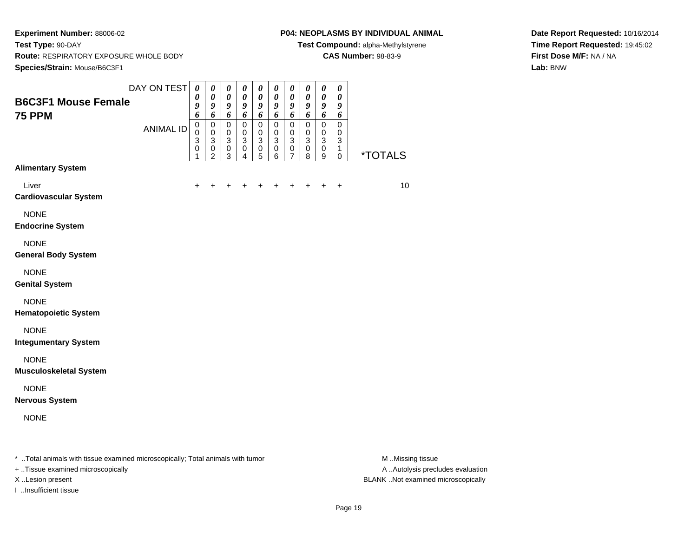#### **P04: NEOPLASMS BY INDIVIDUAL ANIMAL**

**Test Compound:** alpha-Methylstyrene

**CAS Number:** 98-83-9

**Date Report Requested:** 10/16/2014**Time Report Requested:** 19:45:02**First Dose M/F:** NA / NA**Lab:** BNW

| <b>B6C3F1 Mouse Female</b>                                                     | DAY ON TEST      | $\boldsymbol{\theta}$<br>0<br>$\boldsymbol{g}$                  | $\pmb{\theta}$<br>0<br>$\boldsymbol{g}$                                         | $\pmb{\theta}$<br>$\boldsymbol{\theta}$<br>$\boldsymbol{g}$ | 0<br>0<br>9                                       | $\pmb{\theta}$<br>0<br>9                              | 0<br>0<br>9                                | $\pmb{\theta}$<br>$\boldsymbol{\theta}$<br>9                      | 0<br>0<br>9                        | $\pmb{\theta}$<br>$\boldsymbol{\theta}$<br>$\boldsymbol{g}$                      | $\boldsymbol{\theta}$<br>$\boldsymbol{\theta}$<br>$\boldsymbol{g}$  |                       |
|--------------------------------------------------------------------------------|------------------|-----------------------------------------------------------------|---------------------------------------------------------------------------------|-------------------------------------------------------------|---------------------------------------------------|-------------------------------------------------------|--------------------------------------------|-------------------------------------------------------------------|------------------------------------|----------------------------------------------------------------------------------|---------------------------------------------------------------------|-----------------------|
| <b>75 PPM</b>                                                                  | <b>ANIMAL ID</b> | 6<br>$\pmb{0}$<br>$\mathbf 0$<br>$\mathbf{3}$<br>$\pmb{0}$<br>1 | 6<br>0<br>$\pmb{0}$<br>$\ensuremath{\mathsf{3}}$<br>$\pmb{0}$<br>$\overline{c}$ | 6<br>$\pmb{0}$<br>0<br>$\mathbf{3}$<br>$\pmb{0}$<br>3       | 6<br>$\mathsf 0$<br>0<br>3<br>0<br>$\overline{4}$ | 6<br>$\mathsf 0$<br>0<br>$\sqrt{3}$<br>$\pmb{0}$<br>5 | 6<br>$\pmb{0}$<br>0<br>3<br>$\pmb{0}$<br>6 | 6<br>$\mathbf 0$<br>$\mathbf 0$<br>$\mathbf{3}$<br>$\pmb{0}$<br>7 | 6<br>$\pmb{0}$<br>0<br>3<br>0<br>8 | 6<br>$\pmb{0}$<br>$\mathbf 0$<br>$\mathbf{3}$<br>$\mathbf 0$<br>$\boldsymbol{9}$ | 6<br>$\mathbf 0$<br>$\mathbf 0$<br>$\mathbf{3}$<br>1<br>$\mathbf 0$ | <i><b>*TOTALS</b></i> |
| <b>Alimentary System</b>                                                       |                  |                                                                 |                                                                                 |                                                             |                                                   |                                                       |                                            |                                                                   |                                    |                                                                                  |                                                                     |                       |
| Liver<br><b>Cardiovascular System</b>                                          |                  | ÷                                                               |                                                                                 |                                                             |                                                   |                                                       | +                                          | +                                                                 | ÷                                  | +                                                                                | $\ddot{}$                                                           | 10                    |
| <b>NONE</b><br><b>Endocrine System</b>                                         |                  |                                                                 |                                                                                 |                                                             |                                                   |                                                       |                                            |                                                                   |                                    |                                                                                  |                                                                     |                       |
| <b>NONE</b><br><b>General Body System</b>                                      |                  |                                                                 |                                                                                 |                                                             |                                                   |                                                       |                                            |                                                                   |                                    |                                                                                  |                                                                     |                       |
| <b>NONE</b><br><b>Genital System</b>                                           |                  |                                                                 |                                                                                 |                                                             |                                                   |                                                       |                                            |                                                                   |                                    |                                                                                  |                                                                     |                       |
| <b>NONE</b><br><b>Hematopoietic System</b>                                     |                  |                                                                 |                                                                                 |                                                             |                                                   |                                                       |                                            |                                                                   |                                    |                                                                                  |                                                                     |                       |
| <b>NONE</b><br><b>Integumentary System</b>                                     |                  |                                                                 |                                                                                 |                                                             |                                                   |                                                       |                                            |                                                                   |                                    |                                                                                  |                                                                     |                       |
| <b>NONE</b><br><b>Musculoskeletal System</b>                                   |                  |                                                                 |                                                                                 |                                                             |                                                   |                                                       |                                            |                                                                   |                                    |                                                                                  |                                                                     |                       |
| <b>NONE</b><br><b>Nervous System</b>                                           |                  |                                                                 |                                                                                 |                                                             |                                                   |                                                       |                                            |                                                                   |                                    |                                                                                  |                                                                     |                       |
| <b>NONE</b>                                                                    |                  |                                                                 |                                                                                 |                                                             |                                                   |                                                       |                                            |                                                                   |                                    |                                                                                  |                                                                     |                       |
| * Total animals with tissue examined microscopically; Total animals with tumor |                  |                                                                 |                                                                                 |                                                             |                                                   |                                                       |                                            |                                                                   |                                    |                                                                                  |                                                                     | M Missing tissue      |

+ ..Tissue examined microscopically

I ..Insufficient tissue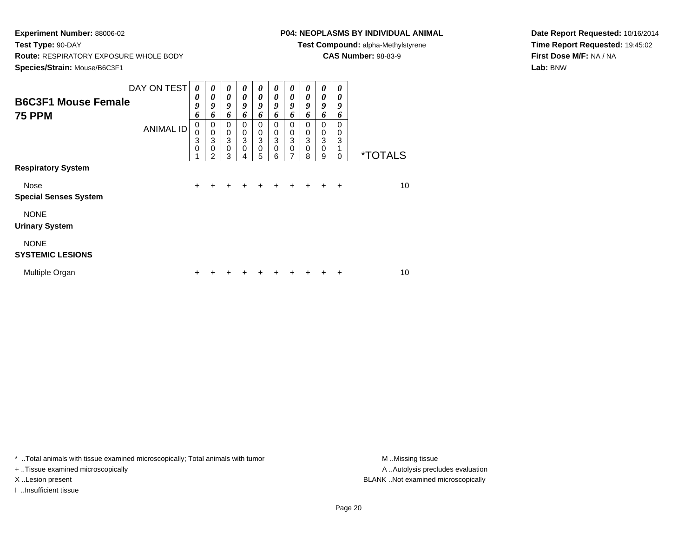# **P04: NEOPLASMS BY INDIVIDUAL ANIMAL**

**Test Compound:** alpha-Methylstyrene

**CAS Number:** 98-83-9

**Date Report Requested:** 10/16/2014**Time Report Requested:** 19:45:02**First Dose M/F:** NA / NA**Lab:** BNW

| <b>B6C3F1 Mouse Female</b><br><b>75 PPM</b>                                      | DAY ON TEST<br><b>ANIMAL ID</b> | 0<br>0<br>9<br>6<br>0<br>0<br>3<br>0 | 0<br>0<br>9<br>6<br>$\mathbf 0$<br>$\pmb{0}$<br>3<br>$\mathbf 0$<br>2 | 0<br>$\boldsymbol{\theta}$<br>9<br>6<br>$\mathbf 0$<br>$\boldsymbol{0}$<br>3<br>$\mathbf 0$<br>3 | 0<br>$\theta$<br>9<br>6<br>0<br>$\mathbf 0$<br>3<br>0<br>4 | 0<br>$\boldsymbol{\theta}$<br>9<br>6<br>$\mathbf 0$<br>$\mathbf 0$<br>$\mathbf{3}$<br>$\pmb{0}$<br>5 | 0<br>$\boldsymbol{\theta}$<br>$\boldsymbol{g}$<br>6<br>0<br>$\mathbf 0$<br>3<br>$\Omega$<br>6 | 0<br>$\boldsymbol{\theta}$<br>9<br>6<br>$\mathbf 0$<br>$\pmb{0}$<br>$\ensuremath{\mathsf{3}}$<br>$\mathbf 0$<br>7 | 0<br>0<br>9<br>6<br>0<br>$\mathbf 0$<br>3<br>$\mathbf 0$<br>8 | 0<br>0<br>9<br>6<br>$\mathbf 0$<br>$\mathbf 0$<br>3<br>$\mathbf 0$<br>9 | 0<br>0<br>9<br>6<br>$\Omega$<br>0<br>3<br>$\Omega$ | <i><b>*TOTALS</b></i> |
|----------------------------------------------------------------------------------|---------------------------------|--------------------------------------|-----------------------------------------------------------------------|--------------------------------------------------------------------------------------------------|------------------------------------------------------------|------------------------------------------------------------------------------------------------------|-----------------------------------------------------------------------------------------------|-------------------------------------------------------------------------------------------------------------------|---------------------------------------------------------------|-------------------------------------------------------------------------|----------------------------------------------------|-----------------------|
| <b>Respiratory System</b><br>Nose<br><b>Special Senses System</b><br><b>NONE</b> |                                 | $\ddot{}$                            | $\ddot{}$                                                             | $\ddot{}$                                                                                        | +                                                          | $\ddot{}$                                                                                            | $\ddot{}$                                                                                     | $+$                                                                                                               | $+$                                                           | $\pm$                                                                   | $+$                                                | 10                    |
| <b>Urinary System</b><br><b>NONE</b><br><b>SYSTEMIC LESIONS</b>                  |                                 |                                      |                                                                       |                                                                                                  |                                                            |                                                                                                      |                                                                                               |                                                                                                                   |                                                               |                                                                         |                                                    |                       |
| Multiple Organ                                                                   |                                 | ÷                                    |                                                                       |                                                                                                  |                                                            |                                                                                                      |                                                                                               |                                                                                                                   |                                                               |                                                                         | ÷                                                  | 10                    |

\* ..Total animals with tissue examined microscopically; Total animals with tumor **M** . Missing tissue M ..Missing tissue

+ ..Tissue examined microscopically

I ..Insufficient tissue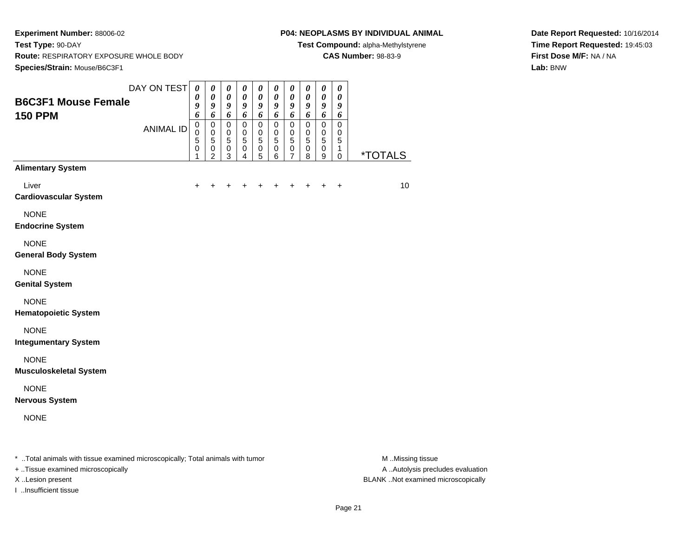#### **P04: NEOPLASMS BY INDIVIDUAL ANIMAL**

**Test Compound:** alpha-Methylstyrene

**CAS Number:** 98-83-9

**Date Report Requested:** 10/16/2014**Time Report Requested:** 19:45:03**First Dose M/F:** NA / NA**Lab:** BNW

| <b>B6C3F1 Mouse Female</b>                                                     | DAY ON TEST $\theta$ | $\boldsymbol{\theta}$<br>9         | 0<br>$\boldsymbol{\theta}$<br>9<br>6         | 0<br>$\pmb{\theta}$<br>9<br>6           | 0<br>$\pmb{\theta}$<br>9             | 0<br>0<br>$\boldsymbol{g}$                                    | $\boldsymbol{\theta}$<br>$\pmb{\theta}$<br>9           | 0<br>$\pmb{\theta}$<br>$\boldsymbol{9}$<br>6    | 0<br>0<br>9<br>6                      | $\boldsymbol{\theta}$<br>$\pmb{\theta}$<br>$\boldsymbol{g}$         | 0<br>$\boldsymbol{\theta}$<br>9<br>6      |                       |
|--------------------------------------------------------------------------------|----------------------|------------------------------------|----------------------------------------------|-----------------------------------------|--------------------------------------|---------------------------------------------------------------|--------------------------------------------------------|-------------------------------------------------|---------------------------------------|---------------------------------------------------------------------|-------------------------------------------|-----------------------|
| <b>150 PPM</b>                                                                 | <b>ANIMAL ID</b>     | 6<br>$\pmb{0}$<br>0<br>5<br>0<br>1 | $\mathbf 0$<br>0<br>5<br>0<br>$\overline{c}$ | $\mathbf 0$<br>0<br>5<br>$\pmb{0}$<br>3 | 6<br>$\mathbf 0$<br>0<br>5<br>0<br>4 | 6<br>$\mathbf 0$<br>$\mathbf 0$<br>$\sqrt{5}$<br>$\,0\,$<br>5 | 6<br>$\mathbf 0$<br>$\mathbf 0$<br>5<br>$\pmb{0}$<br>6 | $\mathbf 0$<br>$\mathbf 0$<br>5<br>$\,0\,$<br>7 | $\mathbf 0$<br>0<br>5<br>$\,0\,$<br>8 | 6<br>$\mathbf 0$<br>$\mathbf 0$<br>$\overline{5}$<br>$\pmb{0}$<br>9 | $\mathbf 0$<br>0<br>5<br>1<br>$\mathbf 0$ | <i><b>*TOTALS</b></i> |
| <b>Alimentary System</b>                                                       |                      |                                    |                                              |                                         |                                      |                                                               |                                                        |                                                 |                                       |                                                                     |                                           |                       |
| Liver<br><b>Cardiovascular System</b>                                          |                      | +                                  |                                              | +                                       | +                                    | ٠                                                             | +                                                      | +                                               | +                                     | $\pm$                                                               | $\ddot{}$                                 | 10                    |
| <b>NONE</b><br><b>Endocrine System</b>                                         |                      |                                    |                                              |                                         |                                      |                                                               |                                                        |                                                 |                                       |                                                                     |                                           |                       |
| <b>NONE</b><br><b>General Body System</b>                                      |                      |                                    |                                              |                                         |                                      |                                                               |                                                        |                                                 |                                       |                                                                     |                                           |                       |
| <b>NONE</b><br><b>Genital System</b>                                           |                      |                                    |                                              |                                         |                                      |                                                               |                                                        |                                                 |                                       |                                                                     |                                           |                       |
| <b>NONE</b><br><b>Hematopoietic System</b>                                     |                      |                                    |                                              |                                         |                                      |                                                               |                                                        |                                                 |                                       |                                                                     |                                           |                       |
| <b>NONE</b><br><b>Integumentary System</b>                                     |                      |                                    |                                              |                                         |                                      |                                                               |                                                        |                                                 |                                       |                                                                     |                                           |                       |
| <b>NONE</b><br><b>Musculoskeletal System</b>                                   |                      |                                    |                                              |                                         |                                      |                                                               |                                                        |                                                 |                                       |                                                                     |                                           |                       |
| <b>NONE</b><br><b>Nervous System</b>                                           |                      |                                    |                                              |                                         |                                      |                                                               |                                                        |                                                 |                                       |                                                                     |                                           |                       |
| <b>NONE</b>                                                                    |                      |                                    |                                              |                                         |                                      |                                                               |                                                        |                                                 |                                       |                                                                     |                                           |                       |
| * Total animals with tissue examined microscopically; Total animals with tumor |                      |                                    |                                              |                                         |                                      |                                                               |                                                        |                                                 |                                       |                                                                     |                                           | M Missing tissue      |

+ ..Tissue examined microscopically

I ..Insufficient tissue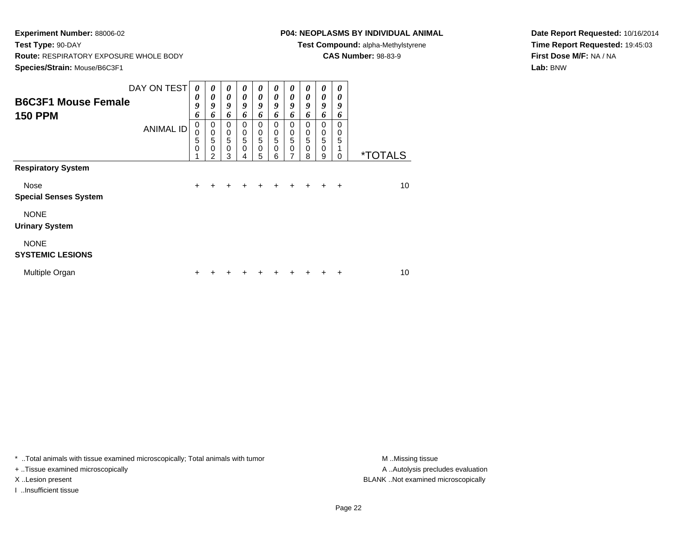# **P04: NEOPLASMS BY INDIVIDUAL ANIMAL**

**Test Compound:** alpha-Methylstyrene

**CAS Number:** 98-83-9

**Date Report Requested:** 10/16/2014**Time Report Requested:** 19:45:03**First Dose M/F:** NA / NA**Lab:** BNW

| <b>B6C3F1 Mouse Female</b><br><b>150 PPM</b>                      | DAY ON TEST<br><b>ANIMAL ID</b> | 0<br>0<br>9<br>6<br>$\boldsymbol{0}$<br>0<br>5<br>$\mathbf 0$ | 0<br>0<br>9<br>6<br>$\pmb{0}$<br>$\pmb{0}$<br>5<br>0<br>$\mathfrak{p}$ | $\boldsymbol{\theta}$<br>$\boldsymbol{\theta}$<br>9<br>6<br>$\mathbf 0$<br>$\pmb{0}$<br>5<br>$\mathbf 0$<br>3 | $\boldsymbol{\theta}$<br>0<br>9<br>6<br>$\mathbf 0$<br>$\mathbf 0$<br>5<br>$\mathbf 0$<br>4 | $\boldsymbol{\theta}$<br>$\boldsymbol{\theta}$<br>9<br>6<br>$\mathbf 0$<br>$\mathbf 0$<br>$\overline{5}$<br>$\mathbf 0$<br>5 | 0<br>0<br>9<br>6<br>0<br>$\pmb{0}$<br>5<br>$\mathbf 0$<br>6 | $\boldsymbol{\theta}$<br>$\boldsymbol{\theta}$<br>9<br>6<br>$\mathbf 0$<br>$\,0\,$<br>5<br>$\mathbf 0$<br>7 | $\boldsymbol{\theta}$<br>$\boldsymbol{\theta}$<br>9<br>6<br>$\Omega$<br>$\mathbf 0$<br>5<br>$\mathbf 0$<br>8 | $\boldsymbol{\theta}$<br>0<br>9<br>6<br>$\mathbf 0$<br>$\boldsymbol{0}$<br>5<br>$\mathbf 0$<br>9 | 0<br>0<br>9<br>6<br>$\Omega$<br>0<br>5<br>$\Omega$ | <i><b>*TOTALS</b></i> |
|-------------------------------------------------------------------|---------------------------------|---------------------------------------------------------------|------------------------------------------------------------------------|---------------------------------------------------------------------------------------------------------------|---------------------------------------------------------------------------------------------|------------------------------------------------------------------------------------------------------------------------------|-------------------------------------------------------------|-------------------------------------------------------------------------------------------------------------|--------------------------------------------------------------------------------------------------------------|--------------------------------------------------------------------------------------------------|----------------------------------------------------|-----------------------|
| <b>Respiratory System</b><br>Nose<br><b>Special Senses System</b> |                                 | $\ddot{}$                                                     | $\ddot{}$                                                              | $\ddot{}$                                                                                                     | +                                                                                           | $+$                                                                                                                          | $\ddot{}$                                                   | $+$                                                                                                         | $+$                                                                                                          | $+$                                                                                              | $\ddot{}$                                          | 10                    |
| <b>NONE</b><br><b>Urinary System</b>                              |                                 |                                                               |                                                                        |                                                                                                               |                                                                                             |                                                                                                                              |                                                             |                                                                                                             |                                                                                                              |                                                                                                  |                                                    |                       |
| <b>NONE</b><br><b>SYSTEMIC LESIONS</b>                            |                                 |                                                               |                                                                        |                                                                                                               |                                                                                             |                                                                                                                              |                                                             |                                                                                                             |                                                                                                              |                                                                                                  |                                                    |                       |
| Multiple Organ                                                    |                                 | +                                                             |                                                                        |                                                                                                               |                                                                                             |                                                                                                                              |                                                             |                                                                                                             |                                                                                                              |                                                                                                  | ÷                                                  | 10                    |

\* ..Total animals with tissue examined microscopically; Total animals with tumor **M** . Missing tissue M ..Missing tissue

+ ..Tissue examined microscopically

I ..Insufficient tissue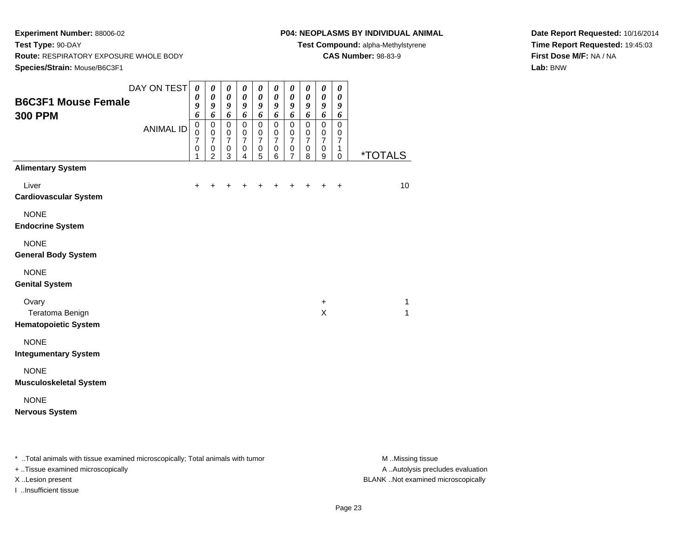### **P04: NEOPLASMS BY INDIVIDUAL ANIMAL**

**Test Compound:** alpha-Methylstyrene

**CAS Number:** 98-83-9

**Date Report Requested:** 10/16/2014**Time Report Requested:** 19:45:03**First Dose M/F:** NA / NA**Lab:** BNW

| <b>B6C3F1 Mouse Female</b><br><b>300 PPM</b>                      | DAY ON TEST<br><b>ANIMAL ID</b> | $\boldsymbol{\theta}$<br>0<br>9<br>6<br>$\pmb{0}$<br>$\mathsf 0$<br>$\overline{7}$<br>0<br>1 | $\boldsymbol{\theta}$<br>$\boldsymbol{\theta}$<br>9<br>6<br>$\pmb{0}$<br>$\mathbf 0$<br>$\overline{7}$<br>$\,0\,$<br>$\overline{2}$ | $\boldsymbol{\theta}$<br>$\boldsymbol{\theta}$<br>9<br>6<br>$\pmb{0}$<br>$\mathbf 0$<br>$\overline{7}$<br>$\mathbf 0$<br>3 | $\boldsymbol{\theta}$<br>$\boldsymbol{\theta}$<br>9<br>6<br>$\pmb{0}$<br>$\mathbf 0$<br>$\overline{7}$<br>$\pmb{0}$<br>4 | $\boldsymbol{\theta}$<br>$\boldsymbol{\theta}$<br>9<br>6<br>$\pmb{0}$<br>0<br>$\overline{7}$<br>$\,0\,$<br>5 | $\boldsymbol{\theta}$<br>$\boldsymbol{\theta}$<br>9<br>6<br>$\pmb{0}$<br>$\mathbf 0$<br>$\overline{7}$<br>$\pmb{0}$<br>6 | $\boldsymbol{\theta}$<br>$\pmb{\theta}$<br>9<br>6<br>$\pmb{0}$<br>$\mathbf 0$<br>$\overline{7}$<br>$\mathbf 0$<br>$\overline{7}$ | 0<br>$\pmb{\theta}$<br>9<br>6<br>$\mathsf 0$<br>0<br>$\overline{7}$<br>0<br>8 | $\boldsymbol{\theta}$<br>$\pmb{\theta}$<br>9<br>6<br>$\pmb{0}$<br>0<br>$\overline{7}$<br>$\pmb{0}$<br>9 | $\boldsymbol{\theta}$<br>$\boldsymbol{\theta}$<br>9<br>6<br>$\mathbf 0$<br>0<br>$\overline{7}$<br>1<br>$\mathbf 0$ | <i><b>*TOTALS</b></i> |
|-------------------------------------------------------------------|---------------------------------|----------------------------------------------------------------------------------------------|-------------------------------------------------------------------------------------------------------------------------------------|----------------------------------------------------------------------------------------------------------------------------|--------------------------------------------------------------------------------------------------------------------------|--------------------------------------------------------------------------------------------------------------|--------------------------------------------------------------------------------------------------------------------------|----------------------------------------------------------------------------------------------------------------------------------|-------------------------------------------------------------------------------|---------------------------------------------------------------------------------------------------------|--------------------------------------------------------------------------------------------------------------------|-----------------------|
| <b>Alimentary System</b><br>Liver<br><b>Cardiovascular System</b> |                                 | $\ddot{}$                                                                                    |                                                                                                                                     |                                                                                                                            |                                                                                                                          |                                                                                                              |                                                                                                                          |                                                                                                                                  |                                                                               | $\ddot{}$                                                                                               | $\ddot{}$                                                                                                          | 10                    |
| <b>NONE</b><br><b>Endocrine System</b>                            |                                 |                                                                                              |                                                                                                                                     |                                                                                                                            |                                                                                                                          |                                                                                                              |                                                                                                                          |                                                                                                                                  |                                                                               |                                                                                                         |                                                                                                                    |                       |
| <b>NONE</b><br><b>General Body System</b>                         |                                 |                                                                                              |                                                                                                                                     |                                                                                                                            |                                                                                                                          |                                                                                                              |                                                                                                                          |                                                                                                                                  |                                                                               |                                                                                                         |                                                                                                                    |                       |
| <b>NONE</b><br><b>Genital System</b>                              |                                 |                                                                                              |                                                                                                                                     |                                                                                                                            |                                                                                                                          |                                                                                                              |                                                                                                                          |                                                                                                                                  |                                                                               |                                                                                                         |                                                                                                                    |                       |
| Ovary<br>Teratoma Benign<br><b>Hematopoietic System</b>           |                                 |                                                                                              |                                                                                                                                     |                                                                                                                            |                                                                                                                          |                                                                                                              |                                                                                                                          |                                                                                                                                  |                                                                               | $\ddot{}$<br>X                                                                                          |                                                                                                                    | $\mathbf{1}$<br>1     |
| <b>NONE</b><br><b>Integumentary System</b>                        |                                 |                                                                                              |                                                                                                                                     |                                                                                                                            |                                                                                                                          |                                                                                                              |                                                                                                                          |                                                                                                                                  |                                                                               |                                                                                                         |                                                                                                                    |                       |
| <b>NONE</b><br><b>Musculoskeletal System</b>                      |                                 |                                                                                              |                                                                                                                                     |                                                                                                                            |                                                                                                                          |                                                                                                              |                                                                                                                          |                                                                                                                                  |                                                                               |                                                                                                         |                                                                                                                    |                       |
| <b>NONE</b><br><b>Nervous System</b>                              |                                 |                                                                                              |                                                                                                                                     |                                                                                                                            |                                                                                                                          |                                                                                                              |                                                                                                                          |                                                                                                                                  |                                                                               |                                                                                                         |                                                                                                                    |                       |

\* ..Total animals with tissue examined microscopically; Total animals with tumor **M** . Missing tissue M ..Missing tissue

+ ..Tissue examined microscopically

I ..Insufficient tissue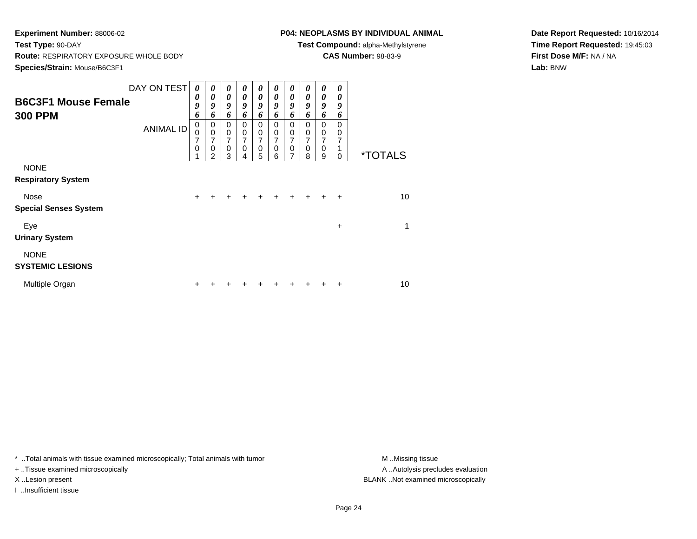# **P04: NEOPLASMS BY INDIVIDUAL ANIMAL**

**Test Compound:** alpha-Methylstyrene

**CAS Number:** 98-83-9

**Date Report Requested:** 10/16/2014**Time Report Requested:** 19:45:03**First Dose M/F:** NA / NA**Lab:** BNW

| <b>B6C3F1 Mouse Female</b><br><b>300 PPM</b> | DAY ON TEST      | 0<br>0<br>9<br>6 | 0<br>$\boldsymbol{\theta}$<br>9<br>6                   | 0<br>0<br>9<br>6                        | 0<br>0<br>9<br>6                          | $\boldsymbol{\theta}$<br>$\boldsymbol{\theta}$<br>9<br>6 | 0<br>0<br>9<br>6                          | 0<br>$\boldsymbol{\theta}$<br>9<br>6                              | 0<br>0<br>9<br>6                          | 0<br>0<br>9<br>6                          | 0<br>0<br>9<br>6          |                       |
|----------------------------------------------|------------------|------------------|--------------------------------------------------------|-----------------------------------------|-------------------------------------------|----------------------------------------------------------|-------------------------------------------|-------------------------------------------------------------------|-------------------------------------------|-------------------------------------------|---------------------------|-----------------------|
|                                              | <b>ANIMAL ID</b> | 0<br>0<br>7<br>0 | 0<br>$\mathbf 0$<br>7<br>$\mathbf 0$<br>$\mathfrak{p}$ | 0<br>$\pmb{0}$<br>7<br>$\mathbf 0$<br>3 | 0<br>$\mathbf 0$<br>7<br>$\mathbf 0$<br>4 | 0<br>$\mathbf 0$<br>7<br>$\mathbf 0$<br>5                | 0<br>$\mathbf 0$<br>7<br>$\mathbf 0$<br>6 | 0<br>$\mathbf 0$<br>$\overline{7}$<br>$\pmb{0}$<br>$\overline{7}$ | 0<br>$\mathbf 0$<br>7<br>$\mathbf 0$<br>8 | 0<br>$\mathbf 0$<br>7<br>$\mathbf 0$<br>9 | $\Omega$<br>0<br>$\Omega$ | <i><b>*TOTALS</b></i> |
| <b>NONE</b><br><b>Respiratory System</b>     |                  |                  |                                                        |                                         |                                           |                                                          |                                           |                                                                   |                                           |                                           |                           |                       |
| Nose<br><b>Special Senses System</b>         |                  | $\ddot{}$        |                                                        | +                                       | ٠                                         | +                                                        | +                                         | $\pm$                                                             | $\div$                                    | ÷                                         | $\ddot{}$                 | 10 <sup>1</sup>       |
| Eye<br><b>Urinary System</b>                 |                  |                  |                                                        |                                         |                                           |                                                          |                                           |                                                                   |                                           |                                           | $\ddot{}$                 | 1                     |
| <b>NONE</b><br><b>SYSTEMIC LESIONS</b>       |                  |                  |                                                        |                                         |                                           |                                                          |                                           |                                                                   |                                           |                                           |                           |                       |
| Multiple Organ                               |                  | ٠                |                                                        |                                         |                                           |                                                          |                                           |                                                                   |                                           |                                           | ٠                         | 10                    |

\* ..Total animals with tissue examined microscopically; Total animals with tumor **M** . Missing tissue M ..Missing tissue

+ ..Tissue examined microscopically

I ..Insufficient tissue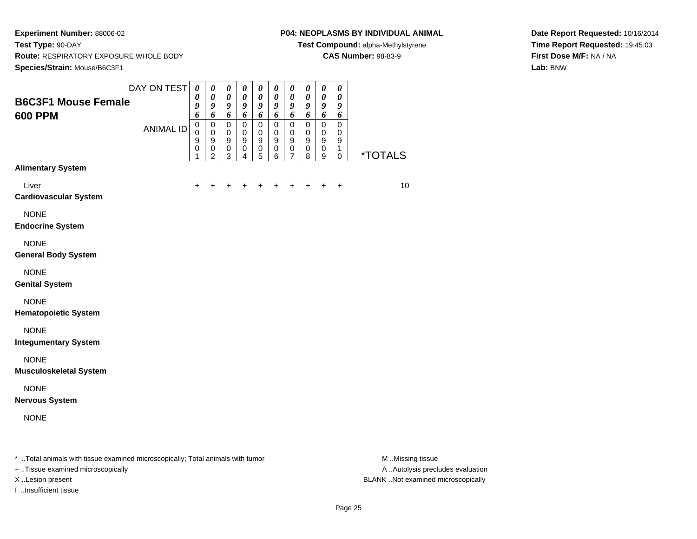#### **P04: NEOPLASMS BY INDIVIDUAL ANIMAL**

**Test Compound:** alpha-Methylstyrene

**CAS Number:** 98-83-9

**Date Report Requested:** 10/16/2014**Time Report Requested:** 19:45:03**First Dose M/F:** NA / NA**Lab:** BNW

| <b>B6C3F1 Mouse Female</b>                                                     | DAY ON TEST      | $\boldsymbol{\theta}$<br>0<br>$\boldsymbol{g}$              | $\pmb{\theta}$<br>0<br>$\boldsymbol{g}$                                  | $\pmb{\theta}$<br>$\boldsymbol{\theta}$<br>$\boldsymbol{g}$ | 0<br>0<br>9                                       | $\pmb{\theta}$<br>0<br>9                                    | 0<br>0<br>9                                | 0<br>$\boldsymbol{\theta}$<br>9                                       | 0<br>0<br>9                        | $\pmb{\theta}$<br>$\boldsymbol{\theta}$<br>$\boldsymbol{g}$                          | $\boldsymbol{\theta}$<br>$\boldsymbol{\theta}$<br>$\boldsymbol{g}$      |                  |
|--------------------------------------------------------------------------------|------------------|-------------------------------------------------------------|--------------------------------------------------------------------------|-------------------------------------------------------------|---------------------------------------------------|-------------------------------------------------------------|--------------------------------------------|-----------------------------------------------------------------------|------------------------------------|--------------------------------------------------------------------------------------|-------------------------------------------------------------------------|------------------|
| <b>600 PPM</b>                                                                 | <b>ANIMAL ID</b> | 6<br>$\pmb{0}$<br>$\mathbf 0$<br>$\boldsymbol{9}$<br>0<br>1 | 6<br>0<br>$\mathbf 0$<br>$\boldsymbol{9}$<br>$\pmb{0}$<br>$\overline{c}$ | 6<br>$\pmb{0}$<br>0<br>$\boldsymbol{9}$<br>$\,0\,$<br>3     | 6<br>$\mathsf 0$<br>0<br>9<br>0<br>$\overline{4}$ | 6<br>$\mathsf 0$<br>0<br>$\boldsymbol{9}$<br>$\pmb{0}$<br>5 | 6<br>$\pmb{0}$<br>0<br>9<br>$\pmb{0}$<br>6 | 6<br>$\mathbf 0$<br>$\mathbf 0$<br>$\boldsymbol{9}$<br>$\pmb{0}$<br>7 | 6<br>$\pmb{0}$<br>0<br>9<br>0<br>8 | 6<br>$\pmb{0}$<br>$\mathbf 0$<br>$\boldsymbol{9}$<br>$\mathbf 0$<br>$\boldsymbol{9}$ | 6<br>$\mathbf 0$<br>$\mathbf 0$<br>$\boldsymbol{9}$<br>1<br>$\mathbf 0$ | *TOTALS          |
| <b>Alimentary System</b>                                                       |                  |                                                             |                                                                          |                                                             |                                                   |                                                             |                                            |                                                                       |                                    |                                                                                      |                                                                         |                  |
| Liver<br><b>Cardiovascular System</b>                                          |                  | ÷                                                           |                                                                          |                                                             |                                                   |                                                             | +                                          | +                                                                     | ÷                                  | +                                                                                    | $\ddot{}$                                                               | 10               |
| <b>NONE</b><br><b>Endocrine System</b>                                         |                  |                                                             |                                                                          |                                                             |                                                   |                                                             |                                            |                                                                       |                                    |                                                                                      |                                                                         |                  |
| <b>NONE</b><br><b>General Body System</b>                                      |                  |                                                             |                                                                          |                                                             |                                                   |                                                             |                                            |                                                                       |                                    |                                                                                      |                                                                         |                  |
| <b>NONE</b><br><b>Genital System</b>                                           |                  |                                                             |                                                                          |                                                             |                                                   |                                                             |                                            |                                                                       |                                    |                                                                                      |                                                                         |                  |
| <b>NONE</b><br><b>Hematopoietic System</b>                                     |                  |                                                             |                                                                          |                                                             |                                                   |                                                             |                                            |                                                                       |                                    |                                                                                      |                                                                         |                  |
| <b>NONE</b><br><b>Integumentary System</b>                                     |                  |                                                             |                                                                          |                                                             |                                                   |                                                             |                                            |                                                                       |                                    |                                                                                      |                                                                         |                  |
| <b>NONE</b><br><b>Musculoskeletal System</b>                                   |                  |                                                             |                                                                          |                                                             |                                                   |                                                             |                                            |                                                                       |                                    |                                                                                      |                                                                         |                  |
| <b>NONE</b><br><b>Nervous System</b>                                           |                  |                                                             |                                                                          |                                                             |                                                   |                                                             |                                            |                                                                       |                                    |                                                                                      |                                                                         |                  |
| <b>NONE</b>                                                                    |                  |                                                             |                                                                          |                                                             |                                                   |                                                             |                                            |                                                                       |                                    |                                                                                      |                                                                         |                  |
| * Total animals with tissue examined microscopically; Total animals with tumor |                  |                                                             |                                                                          |                                                             |                                                   |                                                             |                                            |                                                                       |                                    |                                                                                      |                                                                         | M Missing tissue |

+ ..Tissue examined microscopically

I ..Insufficient tissue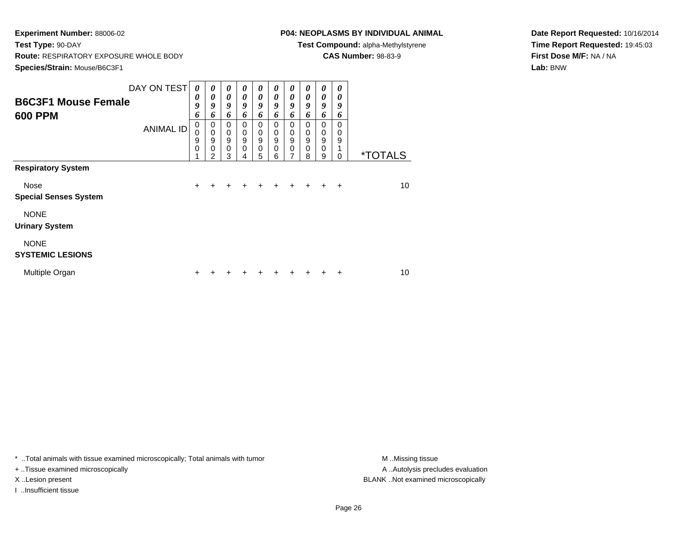# **P04: NEOPLASMS BY INDIVIDUAL ANIMAL**

**Test Compound:** alpha-Methylstyrene

**CAS Number:** 98-83-9

**Date Report Requested:** 10/16/2014**Time Report Requested:** 19:45:03**First Dose M/F:** NA / NA**Lab:** BNW

| <b>B6C3F1 Mouse Female</b><br><b>600 PPM</b>                      | DAY ON TEST<br><b>ANIMAL ID</b> | 0<br>0<br>9<br>6<br>$\mathbf 0$<br>0<br>9<br>0 | $\boldsymbol{\theta}$<br>0<br>9<br>6<br>0<br>$\mathbf 0$<br>$\boldsymbol{9}$<br>$\mathbf{0}$<br>$\mathfrak{p}$ | 0<br>0<br>9<br>6<br>$\mathbf 0$<br>$\mathbf 0$<br>$\boldsymbol{9}$<br>$\Omega$<br>3 | $\boldsymbol{\theta}$<br>0<br>9<br>6<br>0<br>$\boldsymbol{0}$<br>9<br>$\mathbf 0$<br>4 | 0<br>$\boldsymbol{\theta}$<br>9<br>6<br>$\mathbf 0$<br>$\mathbf 0$<br>$\boldsymbol{9}$<br>$\mathbf 0$<br>5 | 0<br>0<br>9<br>6<br>0<br>$\mathbf 0$<br>9<br>$\mathbf 0$<br>6 | $\boldsymbol{\theta}$<br>$\boldsymbol{\theta}$<br>9<br>6<br>$\mathbf 0$<br>$\mathbf 0$<br>$\boldsymbol{9}$<br>$\mathbf 0$<br>7 | $\boldsymbol{\theta}$<br>0<br>9<br>6<br>0<br>$\mathbf 0$<br>9<br>$\mathbf 0$<br>8 | $\boldsymbol{\theta}$<br>$\boldsymbol{\theta}$<br>9<br>6<br>$\mathbf 0$<br>$\mathbf 0$<br>$\boldsymbol{9}$<br>$\mathbf 0$<br>9 | $\boldsymbol{\theta}$<br>0<br>9<br>6<br>$\Omega$<br>0<br>9<br>$\Omega$ | <i><b>*TOTALS</b></i> |
|-------------------------------------------------------------------|---------------------------------|------------------------------------------------|----------------------------------------------------------------------------------------------------------------|-------------------------------------------------------------------------------------|----------------------------------------------------------------------------------------|------------------------------------------------------------------------------------------------------------|---------------------------------------------------------------|--------------------------------------------------------------------------------------------------------------------------------|-----------------------------------------------------------------------------------|--------------------------------------------------------------------------------------------------------------------------------|------------------------------------------------------------------------|-----------------------|
| <b>Respiratory System</b><br>Nose<br><b>Special Senses System</b> |                                 | $\ddot{}$                                      | $\ddot{}$                                                                                                      | $\ddot{}$                                                                           | $\ddot{}$                                                                              | $+$                                                                                                        | $+$                                                           | $+$                                                                                                                            | $\ddot{}$                                                                         | $\ddot{}$                                                                                                                      | $\ddot{}$                                                              | 10                    |
| <b>NONE</b><br><b>Urinary System</b>                              |                                 |                                                |                                                                                                                |                                                                                     |                                                                                        |                                                                                                            |                                                               |                                                                                                                                |                                                                                   |                                                                                                                                |                                                                        |                       |
| <b>NONE</b><br><b>SYSTEMIC LESIONS</b>                            |                                 |                                                |                                                                                                                |                                                                                     |                                                                                        |                                                                                                            |                                                               |                                                                                                                                |                                                                                   |                                                                                                                                |                                                                        |                       |
| Multiple Organ                                                    |                                 | +                                              |                                                                                                                |                                                                                     |                                                                                        |                                                                                                            |                                                               |                                                                                                                                |                                                                                   |                                                                                                                                | ٠                                                                      | 10                    |

\* ..Total animals with tissue examined microscopically; Total animals with tumor **M** . Missing tissue M ..Missing tissue

+ ..Tissue examined microscopically

I ..Insufficient tissue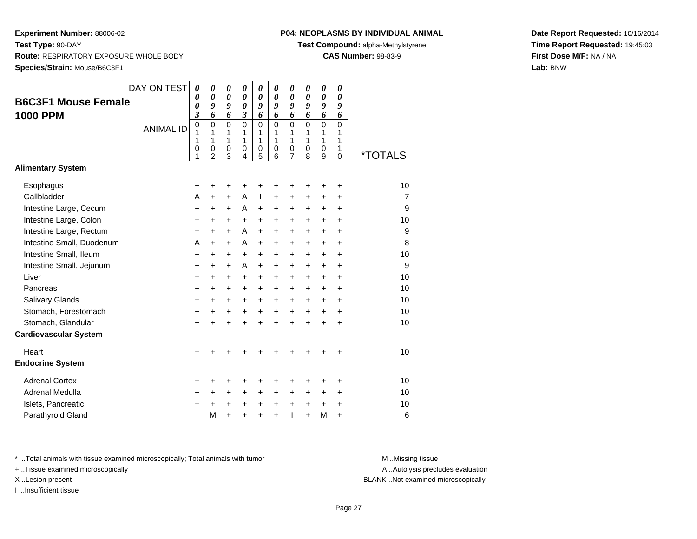# **P04: NEOPLASMS BY INDIVIDUAL ANIMAL**

**Test Compound:** alpha-Methylstyrene

**CAS Number:** 98-83-9

**Date Report Requested:** 10/16/2014**Time Report Requested:** 19:45:03**First Dose M/F:** NA / NA**Lab:** BNW

| DAY ON TEST | 0                | 0                        | 0                                         | 0                                         | $\boldsymbol{\theta}$                                    | 0                | 0              | 0                                  | 0              | 0                                         |                        |
|-------------|------------------|--------------------------|-------------------------------------------|-------------------------------------------|----------------------------------------------------------|------------------|----------------|------------------------------------|----------------|-------------------------------------------|------------------------|
|             | 0                |                          |                                           |                                           | $\boldsymbol{\theta}$                                    | 0                |                | 0                                  |                | 0                                         |                        |
|             |                  |                          |                                           |                                           |                                                          |                  |                |                                    |                |                                           |                        |
|             | $\overline{0}$   | $\mathbf 0$              | $\mathbf 0$                               | $\mathbf 0$                               | $\mathbf 0$                                              | $\mathbf 0$      | $\mathbf 0$    | $\mathbf 0$                        | $\overline{0}$ | $\overline{0}$                            |                        |
|             | 1                | 1                        | 1                                         | 1                                         | 1                                                        | 1                | 1              | 1                                  | 1              | 1                                         |                        |
|             | 0                |                          |                                           | $\mathbf 0$                               |                                                          | $\mathbf 0$      |                | 0                                  |                | 1                                         |                        |
|             | 1                | $\overline{2}$           | 3                                         | 4                                         | 5                                                        | 6                | $\overline{7}$ | 8                                  | 9              | $\Omega$                                  | <i><b>*TOTALS</b></i>  |
|             |                  |                          |                                           |                                           |                                                          |                  |                |                                    |                |                                           |                        |
|             | +                | +                        | +                                         | +                                         | +                                                        |                  | ٠              | ٠                                  | ٠              | +                                         | 10                     |
|             | A                | $+$                      | $+$                                       | A                                         | T                                                        | $+$              | $+$            | $\ddot{}$                          | $\ddot{}$      | $\ddot{}$                                 | $\overline{7}$         |
|             | +                | $\ddot{}$                | $\ddot{}$                                 | A                                         | $\ddot{}$                                                | +                | +              | +                                  | $\ddot{}$      | $\ddot{}$                                 | 9                      |
|             | +                | +                        | +                                         | +                                         | +                                                        | +                | +              | +                                  | +              | +                                         | 10                     |
|             | $\ddot{}$        | $\ddot{}$                | $\ddot{}$                                 | A                                         | $\ddot{}$                                                | $\ddot{}$        | $\ddot{}$      | $\ddot{}$                          | $\ddot{}$      | $\ddot{}$                                 | 9                      |
|             | A                | $+$                      | $+$                                       | A                                         | $\ddot{}$                                                | $+$              | $+$            | $\ddot{}$                          | $\ddot{}$      | $\ddot{}$                                 | 8                      |
|             | +                | $\ddot{}$                | $\ddot{}$                                 | $\ddot{}$                                 | $\ddot{}$                                                | $\ddot{}$        | $+$            | $\ddot{}$                          | $\ddot{}$      | $\ddot{}$                                 | 10                     |
|             | +                | $\ddot{}$                | $\ddot{}$                                 | A                                         | $\ddot{}$                                                | $\ddot{}$        | $\ddot{}$      | $\ddot{}$                          | $\ddot{}$      | $\ddot{}$                                 | 9                      |
|             | +                | +                        | +                                         | +                                         | +                                                        | +                | $\ddot{}$      | +                                  | +              | +                                         | 10                     |
|             | $\ddot{}$        | $\ddot{}$                | $\ddot{}$                                 | $\ddot{}$                                 | $\ddot{}$                                                | $\ddot{}$        | $\ddot{}$      | $\ddot{}$                          | $\ddot{}$      | $\ddot{}$                                 | 10                     |
|             | +                | $+$                      | $\ddot{}$                                 | $\ddot{}$                                 | $\ddot{}$                                                | $\ddot{}$        | $\ddot{}$      | $\ddot{}$                          | +              | $\ddot{}$                                 | 10                     |
|             | +                | $\ddot{}$                | $\ddot{}$                                 | $\ddot{}$                                 | $\ddot{}$                                                | $\ddot{}$        | $\ddot{}$      | $\ddot{}$                          | $\ddot{}$      | $\ddot{}$                                 | 10                     |
|             | $\ddot{}$        | $\ddot{}$                | $\ddot{}$                                 | $\ddot{}$                                 | $\ddot{}$                                                | $\ddot{}$        | $\ddot{}$      | $\ddot{}$                          | $\ddot{}$      | $\ddot{}$                                 | 10                     |
|             |                  |                          |                                           |                                           |                                                          |                  |                |                                    |                |                                           |                        |
|             | +                |                          |                                           |                                           |                                                          |                  |                |                                    | +              | +                                         | 10                     |
|             |                  |                          |                                           |                                           |                                                          |                  |                |                                    |                |                                           |                        |
|             | +                | +                        | +                                         | +                                         | +                                                        |                  | +              | +                                  | +              | +                                         | 10                     |
|             | $\ddot{}$        | $\ddot{}$                | $\ddot{}$                                 | $\ddot{}$                                 | $\ddot{}$                                                | $\ddot{}$        | $\ddot{}$      | $\ddot{}$                          | +              | $\ddot{}$                                 | 10                     |
|             | +                | $\ddot{}$                | +                                         | $\ddot{}$                                 | $\ddot{}$                                                | $\ddot{}$        | $\ddot{}$      | +                                  | $\ddot{}$      | $\ddot{}$                                 | 10                     |
|             | ı                | M                        | $\ddot{}$                                 | +                                         | $\ddot{}$                                                | $\ddot{}$        | T              | $\ddot{}$                          | M              | $\ddot{}$                                 | 6                      |
|             | <b>ANIMAL ID</b> | 0<br>$\mathfrak{z}$<br>1 | $\boldsymbol{\theta}$<br>9<br>6<br>1<br>0 | $\boldsymbol{\theta}$<br>9<br>6<br>1<br>0 | $\boldsymbol{\theta}$<br>$\boldsymbol{\theta}$<br>3<br>1 | 9<br>6<br>1<br>0 | 9<br>6<br>1    | $\pmb{\theta}$<br>9<br>6<br>1<br>0 | 9<br>6<br>1    | $\boldsymbol{\theta}$<br>9<br>6<br>1<br>0 | 9<br>6<br>$\mathbf{1}$ |

\* ..Total animals with tissue examined microscopically; Total animals with tumor **M** . Missing tissue M ..Missing tissue

+ ..Tissue examined microscopically

I ..Insufficient tissue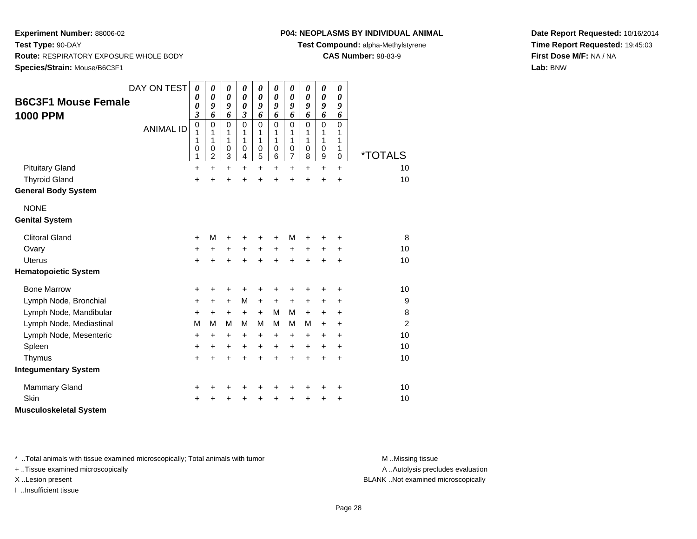# **P04: NEOPLASMS BY INDIVIDUAL ANIMAL**

**Test Compound:** alpha-Methylstyrene

**CAS Number:** 98-83-9

**Date Report Requested:** 10/16/2014**Time Report Requested:** 19:45:03**First Dose M/F:** NA / NA**Lab:** BNW

| <b>B6C3F1 Mouse Female</b><br><b>1000 PPM</b><br><b>Pituitary Gland</b> | DAY ON TEST<br><b>ANIMAL ID</b> | 0<br>0<br>0<br>$\overline{\mathbf{3}}$<br>0<br>1<br>1<br>0<br>1<br>$\ddot{}$ | 0<br>$\boldsymbol{\theta}$<br>9<br>6<br>$\mathbf 0$<br>1<br>1<br>0<br>$\overline{c}$<br>$\ddot{}$ | 0<br>$\boldsymbol{\theta}$<br>9<br>6<br>$\mathbf 0$<br>1<br>1<br>$\pmb{0}$<br>$\ensuremath{\mathsf{3}}$<br>$\ddot{}$ | 0<br>$\boldsymbol{\theta}$<br>$\boldsymbol{\theta}$<br>$\boldsymbol{\beta}$<br>$\Omega$<br>1<br>1<br>$\pmb{0}$<br>4<br>$\ddot{}$ | 0<br>$\boldsymbol{\theta}$<br>9<br>6<br>$\mathbf 0$<br>1<br>1<br>$\mathbf 0$<br>5<br>$\ddot{}$ | 0<br>$\boldsymbol{\theta}$<br>9<br>6<br>$\Omega$<br>1<br>$\mathbf{1}$<br>$\pmb{0}$<br>6<br>$\ddot{}$ | 0<br>$\boldsymbol{\theta}$<br>9<br>6<br>$\mathbf 0$<br>1<br>1<br>$\mathbf 0$<br>$\boldsymbol{7}$<br>$\ddot{}$ | 0<br>$\boldsymbol{\theta}$<br>9<br>6<br>$\mathbf 0$<br>1<br>1<br>$\mathbf 0$<br>8<br>$\ddot{}$ | 0<br>$\boldsymbol{\theta}$<br>9<br>6<br>$\mathbf 0$<br>1<br>1<br>0<br>$\boldsymbol{9}$<br>+ | 0<br>0<br>9<br>6<br>$\mathbf 0$<br>1<br>1<br>1<br>$\pmb{0}$<br>$\ddot{}$ | *TOTALS<br>10  |
|-------------------------------------------------------------------------|---------------------------------|------------------------------------------------------------------------------|---------------------------------------------------------------------------------------------------|----------------------------------------------------------------------------------------------------------------------|----------------------------------------------------------------------------------------------------------------------------------|------------------------------------------------------------------------------------------------|------------------------------------------------------------------------------------------------------|---------------------------------------------------------------------------------------------------------------|------------------------------------------------------------------------------------------------|---------------------------------------------------------------------------------------------|--------------------------------------------------------------------------|----------------|
| <b>Thyroid Gland</b>                                                    |                                 | $\ddot{}$                                                                    | ÷                                                                                                 | $\ddot{}$                                                                                                            | ÷                                                                                                                                | $\ddot{}$                                                                                      |                                                                                                      | $\ddot{}$                                                                                                     | ÷                                                                                              | $\ddot{}$                                                                                   | $\ddot{}$                                                                | 10             |
| <b>General Body System</b>                                              |                                 |                                                                              |                                                                                                   |                                                                                                                      |                                                                                                                                  |                                                                                                |                                                                                                      |                                                                                                               |                                                                                                |                                                                                             |                                                                          |                |
| <b>NONE</b>                                                             |                                 |                                                                              |                                                                                                   |                                                                                                                      |                                                                                                                                  |                                                                                                |                                                                                                      |                                                                                                               |                                                                                                |                                                                                             |                                                                          |                |
| <b>Genital System</b>                                                   |                                 |                                                                              |                                                                                                   |                                                                                                                      |                                                                                                                                  |                                                                                                |                                                                                                      |                                                                                                               |                                                                                                |                                                                                             |                                                                          |                |
| <b>Clitoral Gland</b>                                                   |                                 | +                                                                            | М                                                                                                 | +                                                                                                                    |                                                                                                                                  | +                                                                                              |                                                                                                      | M                                                                                                             |                                                                                                |                                                                                             | +                                                                        | 8              |
| Ovary                                                                   |                                 | +                                                                            | $\pm$                                                                                             | +                                                                                                                    | $\ddot{}$                                                                                                                        | $\ddot{}$                                                                                      | $\ddot{}$                                                                                            | $\ddot{}$                                                                                                     | +                                                                                              | +                                                                                           | ÷                                                                        | 10             |
| <b>Uterus</b>                                                           |                                 | $\ddot{}$                                                                    | +                                                                                                 | $\ddot{}$                                                                                                            | $\ddot{}$                                                                                                                        | $\ddot{}$                                                                                      |                                                                                                      | $\ddot{}$                                                                                                     |                                                                                                | $\ddot{}$                                                                                   | $\ddot{}$                                                                | 10             |
| <b>Hematopoietic System</b>                                             |                                 |                                                                              |                                                                                                   |                                                                                                                      |                                                                                                                                  |                                                                                                |                                                                                                      |                                                                                                               |                                                                                                |                                                                                             |                                                                          |                |
| <b>Bone Marrow</b>                                                      |                                 | +                                                                            | +                                                                                                 | +                                                                                                                    | +                                                                                                                                | +                                                                                              | +                                                                                                    | +                                                                                                             | +                                                                                              | +                                                                                           | +                                                                        | 10             |
| Lymph Node, Bronchial                                                   |                                 | +                                                                            | $\pm$                                                                                             | $\ddot{}$                                                                                                            | M                                                                                                                                | $\ddot{}$                                                                                      | $\ddot{}$                                                                                            | +                                                                                                             | +                                                                                              | +                                                                                           | +                                                                        | 9              |
| Lymph Node, Mandibular                                                  |                                 | +                                                                            | $\ddot{}$                                                                                         | $\ddot{}$                                                                                                            | $\ddot{}$                                                                                                                        | $\ddot{}$                                                                                      | M                                                                                                    | M                                                                                                             | $+$                                                                                            | $\ddot{}$                                                                                   | +                                                                        | 8              |
| Lymph Node, Mediastinal                                                 |                                 | M                                                                            | M                                                                                                 | M                                                                                                                    | M                                                                                                                                | M                                                                                              | м                                                                                                    | М                                                                                                             | M                                                                                              | $\ddot{}$                                                                                   | $\ddot{}$                                                                | $\overline{2}$ |
| Lymph Node, Mesenteric                                                  |                                 | +                                                                            | +                                                                                                 | +                                                                                                                    | +                                                                                                                                | +                                                                                              | $\ddot{}$                                                                                            | +                                                                                                             | ÷                                                                                              | $\pm$                                                                                       | +                                                                        | 10             |
| Spleen                                                                  |                                 | +                                                                            | +                                                                                                 | $\ddot{}$                                                                                                            | $\ddot{}$                                                                                                                        | $\ddot{}$                                                                                      | $\ddot{}$                                                                                            | $\ddot{}$                                                                                                     | $\ddot{}$                                                                                      | +                                                                                           | $\ddot{}$                                                                | 10             |
| Thymus                                                                  |                                 | $\ddot{}$                                                                    | $\ddot{}$                                                                                         | $\ddot{}$                                                                                                            | $\ddot{}$                                                                                                                        | $\ddot{}$                                                                                      | $\ddot{}$                                                                                            | $\ddot{}$                                                                                                     | $\ddot{}$                                                                                      | $\ddot{}$                                                                                   | $\ddot{}$                                                                | 10             |
| <b>Integumentary System</b>                                             |                                 |                                                                              |                                                                                                   |                                                                                                                      |                                                                                                                                  |                                                                                                |                                                                                                      |                                                                                                               |                                                                                                |                                                                                             |                                                                          |                |
| <b>Mammary Gland</b>                                                    |                                 | +                                                                            |                                                                                                   | +                                                                                                                    | +                                                                                                                                | +                                                                                              |                                                                                                      |                                                                                                               |                                                                                                | +                                                                                           | +                                                                        | 10             |
| Skin                                                                    |                                 | +                                                                            |                                                                                                   |                                                                                                                      |                                                                                                                                  |                                                                                                |                                                                                                      |                                                                                                               |                                                                                                |                                                                                             | +                                                                        | 10             |
| <b>Musculoskeletal System</b>                                           |                                 |                                                                              |                                                                                                   |                                                                                                                      |                                                                                                                                  |                                                                                                |                                                                                                      |                                                                                                               |                                                                                                |                                                                                             |                                                                          |                |

\* ..Total animals with tissue examined microscopically; Total animals with tumor **M** . Missing tissue M ..Missing tissue

+ ..Tissue examined microscopically

I ..Insufficient tissue

A ..Autolysis precludes evaluation

X ..Lesion present BLANK ..Not examined microscopically